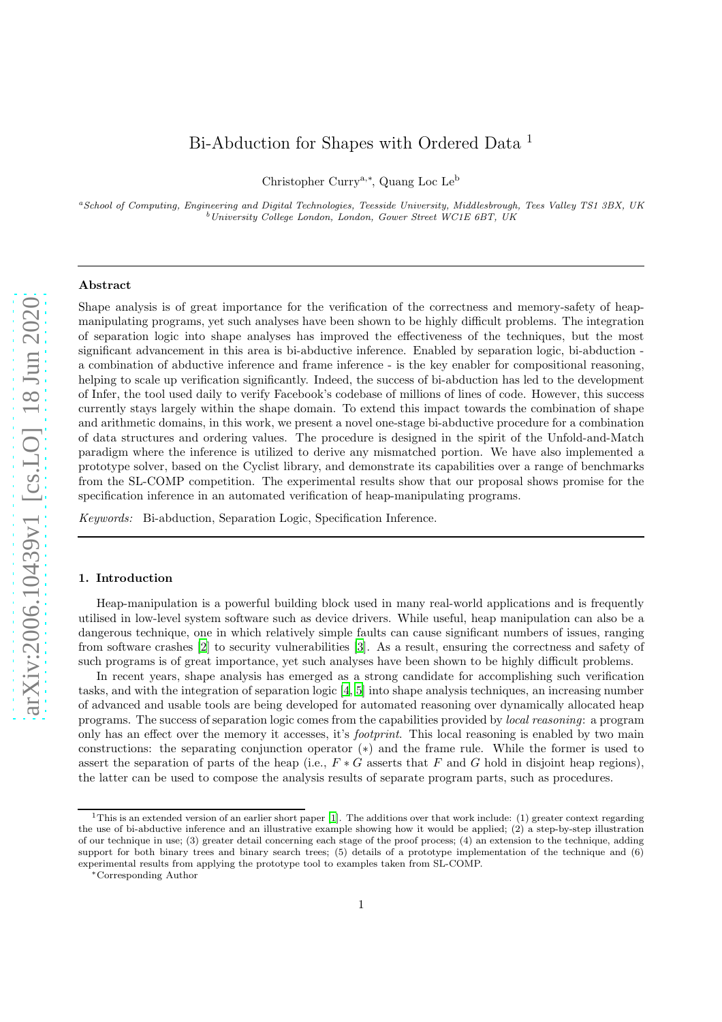# Bi-Abduction for Shapes with Ordered Data<sup>1</sup>

Christopher Currya,<sup>∗</sup> , Quang Loc Le<sup>b</sup>

<sup>a</sup>School of Computing, Engineering and Digital Technologies, Teesside University, Middlesbrough, Tees Valley TS1 3BX, UK  $b$ University College London, London, Gower Street WC1E 6BT, UK

### Abstract

Shape analysis is of great importance for the verification of the correctness and memory-safety of heapmanipulating programs, yet such analyses have been shown to be highly difficult problems. The integration of separation logic into shape analyses has improved the effectiveness of the techniques, but the most significant advancement in this area is bi-abductive inference. Enabled by separation logic, bi-abduction a combination of abductive inference and frame inference - is the key enabler for compositional reasoning, helping to scale up verification significantly. Indeed, the success of bi-abduction has led to the development of Infer, the tool used daily to verify Facebook's codebase of millions of lines of code. However, this success currently stays largely within the shape domain. To extend this impact towards the combination of shape and arithmetic domains, in this work, we present a novel one-stage bi-abductive procedure for a combination of data structures and ordering values. The procedure is designed in the spirit of the Unfold-and-Match paradigm where the inference is utilized to derive any mismatched portion. We have also implemented a prototype solver, based on the Cyclist library, and demonstrate its capabilities over a range of benchmarks from the SL-COMP competition. The experimental results show that our proposal shows promise for the specification inference in an automated verification of heap-manipulating programs.

Keywords: Bi-abduction, Separation Logic, Specification Inference.

### 1. Introduction

Heap-manipulation is a powerful building block used in many real-world applications and is frequently utilised in low-level system software such as device drivers. While useful, heap manipulation can also be a dangerous technique, one in which relatively simple faults can cause significant numbers of issues, ranging from software crashes [\[2](#page-21-0)] to security vulnerabilities [\[3\]](#page-21-1). As a result, ensuring the correctness and safety of such programs is of great importance, yet such analyses have been shown to be highly difficult problems.

In recent years, shape analysis has emerged as a strong candidate for accomplishing such verification tasks, and with the integration of separation logic [\[4,](#page-21-2) [5\]](#page-21-3) into shape analysis techniques, an increasing number of advanced and usable tools are being developed for automated reasoning over dynamically allocated heap programs. The success of separation logic comes from the capabilities provided by local reasoning: a program only has an effect over the memory it accesses, it's *footprint*. This local reasoning is enabled by two main constructions: the separating conjunction operator (∗) and the frame rule. While the former is used to assert the separation of parts of the heap (i.e.,  $F * G$  asserts that F and G hold in disjoint heap regions), the latter can be used to compose the analysis results of separate program parts, such as procedures.

<sup>&</sup>lt;sup>1</sup>This is an extended version of an earlier short paper [\[1\]](#page-21-4). The additions over that work include: (1) greater context regarding the use of bi-abductive inference and an illustrative example showing how it would be applied; (2) a step-by-step illustration of our technique in use; (3) greater detail concerning each stage of the proof process; (4) an extension to the technique, adding support for both binary trees and binary search trees; (5) details of a prototype implementation of the technique and (6) experimental results from applying the prototype tool to examples taken from SL-COMP.

<sup>∗</sup>Corresponding Author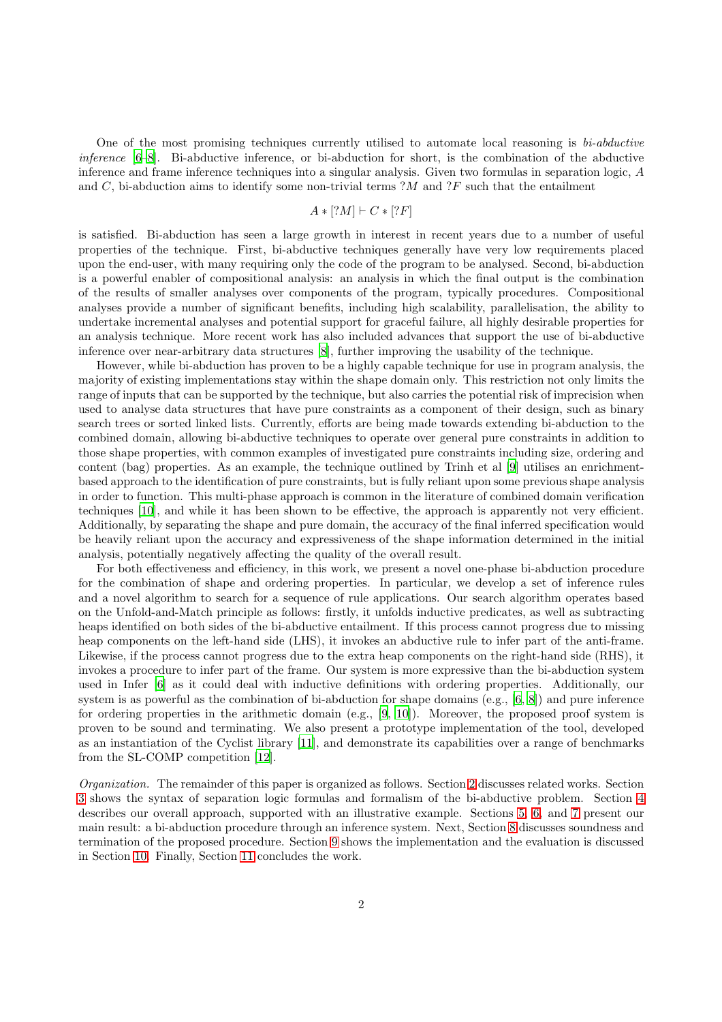One of the most promising techniques currently utilised to automate local reasoning is  $bi-abductive$ inference [\[6](#page-21-5)[–8\]](#page-21-6). Bi-abductive inference, or bi-abduction for short, is the combination of the abductive inference and frame inference techniques into a singular analysis. Given two formulas in separation logic, A and C, bi-abduction aims to identify some non-trivial terms  $?M$  and  $?F$  such that the entailment

$$
A * [?M] \vdash C * [?F]
$$

is satisfied. Bi-abduction has seen a large growth in interest in recent years due to a number of useful properties of the technique. First, bi-abductive techniques generally have very low requirements placed upon the end-user, with many requiring only the code of the program to be analysed. Second, bi-abduction is a powerful enabler of compositional analysis: an analysis in which the final output is the combination of the results of smaller analyses over components of the program, typically procedures. Compositional analyses provide a number of significant benefits, including high scalability, parallelisation, the ability to undertake incremental analyses and potential support for graceful failure, all highly desirable properties for an analysis technique. More recent work has also included advances that support the use of bi-abductive inference over near-arbitrary data structures [\[8](#page-21-6)], further improving the usability of the technique.

However, while bi-abduction has proven to be a highly capable technique for use in program analysis, the majority of existing implementations stay within the shape domain only. This restriction not only limits the range of inputs that can be supported by the technique, but also carries the potential risk of imprecision when used to analyse data structures that have pure constraints as a component of their design, such as binary search trees or sorted linked lists. Currently, efforts are being made towards extending bi-abduction to the combined domain, allowing bi-abductive techniques to operate over general pure constraints in addition to those shape properties, with common examples of investigated pure constraints including size, ordering and content (bag) properties. As an example, the technique outlined by Trinh et al [\[9](#page-21-7)] utilises an enrichmentbased approach to the identification of pure constraints, but is fully reliant upon some previous shape analysis in order to function. This multi-phase approach is common in the literature of combined domain verification techniques [\[10](#page-21-8)], and while it has been shown to be effective, the approach is apparently not very efficient. Additionally, by separating the shape and pure domain, the accuracy of the final inferred specification would be heavily reliant upon the accuracy and expressiveness of the shape information determined in the initial analysis, potentially negatively affecting the quality of the overall result.

For both effectiveness and efficiency, in this work, we present a novel one-phase bi-abduction procedure for the combination of shape and ordering properties. In particular, we develop a set of inference rules and a novel algorithm to search for a sequence of rule applications. Our search algorithm operates based on the Unfold-and-Match principle as follows: firstly, it unfolds inductive predicates, as well as subtracting heaps identified on both sides of the bi-abductive entailment. If this process cannot progress due to missing heap components on the left-hand side (LHS), it invokes an abductive rule to infer part of the anti-frame. Likewise, if the process cannot progress due to the extra heap components on the right-hand side (RHS), it invokes a procedure to infer part of the frame. Our system is more expressive than the bi-abduction system used in Infer [\[6\]](#page-21-5) as it could deal with inductive definitions with ordering properties. Additionally, our system is as powerful as the combination of bi-abduction for shape domains (e.g., [\[6,](#page-21-5) [8\]](#page-21-6)) and pure inference for ordering properties in the arithmetic domain (e.g., [\[9,](#page-21-7) [10\]](#page-21-8)). Moreover, the proposed proof system is proven to be sound and terminating. We also present a prototype implementation of the tool, developed as an instantiation of the Cyclist library [\[11\]](#page-21-9), and demonstrate its capabilities over a range of benchmarks from the SL-COMP competition [\[12](#page-21-10)].

Organization. The remainder of this paper is organized as follows. Section [2](#page-2-0) discusses related works. Section [3](#page-2-1) shows the syntax of separation logic formulas and formalism of the bi-abductive problem. Section [4](#page-4-0) describes our overall approach, supported with an illustrative example. Sections [5,](#page-8-0) [6,](#page-9-0) and [7](#page-11-0) present our main result: a bi-abduction procedure through an inference system. Next, Section [8](#page-13-0) discusses soundness and termination of the proposed procedure. Section [9](#page-13-1) shows the implementation and the evaluation is discussed in Section [10.](#page-14-0) Finally, Section [11](#page-20-0) concludes the work.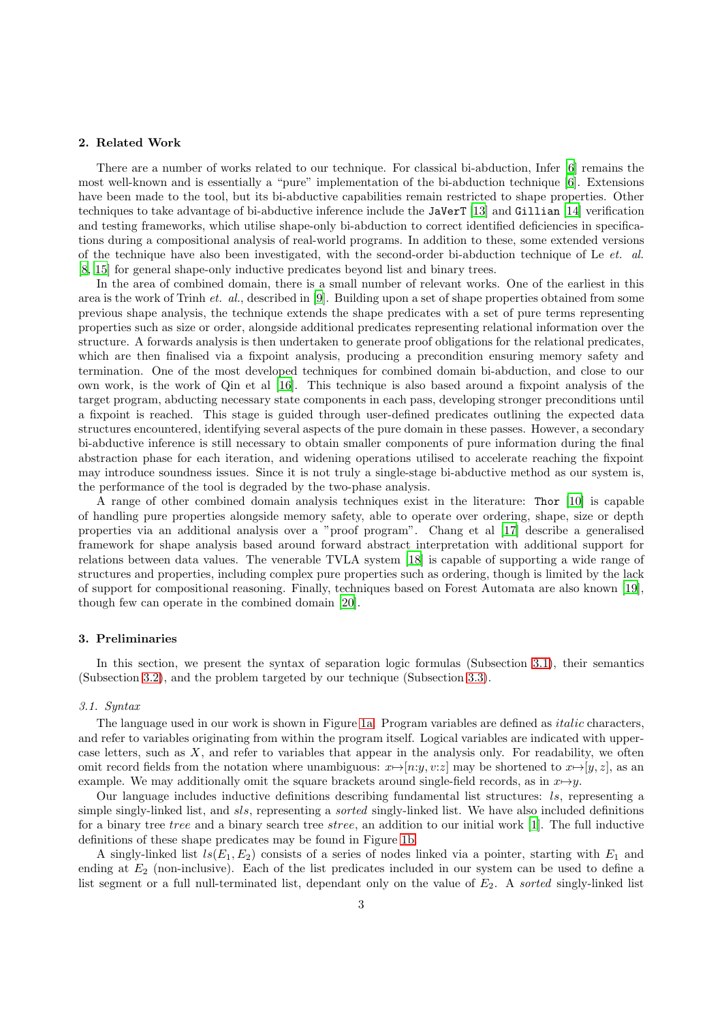# <span id="page-2-0"></span>2. Related Work

There are a number of works related to our technique. For classical bi-abduction, Infer [\[6](#page-21-5)] remains the most well-known and is essentially a "pure" implementation of the bi-abduction technique [\[6\]](#page-21-5). Extensions have been made to the tool, but its bi-abductive capabilities remain restricted to shape properties. Other techniques to take advantage of bi-abductive inference include the JaVerT [\[13\]](#page-21-11) and Gillian [\[14\]](#page-21-12) verification and testing frameworks, which utilise shape-only bi-abduction to correct identified deficiencies in specifications during a compositional analysis of real-world programs. In addition to these, some extended versions of the technique have also been investigated, with the second-order bi-abduction technique of Le et. al. [\[8](#page-21-6), [15](#page-21-13)] for general shape-only inductive predicates beyond list and binary trees.

In the area of combined domain, there is a small number of relevant works. One of the earliest in this area is the work of Trinh *et. al.*, described in [\[9\]](#page-21-7). Building upon a set of shape properties obtained from some previous shape analysis, the technique extends the shape predicates with a set of pure terms representing properties such as size or order, alongside additional predicates representing relational information over the structure. A forwards analysis is then undertaken to generate proof obligations for the relational predicates, which are then finalised via a fixpoint analysis, producing a precondition ensuring memory safety and termination. One of the most developed techniques for combined domain bi-abduction, and close to our own work, is the work of Qin et al [\[16\]](#page-21-14). This technique is also based around a fixpoint analysis of the target program, abducting necessary state components in each pass, developing stronger preconditions until a fixpoint is reached. This stage is guided through user-defined predicates outlining the expected data structures encountered, identifying several aspects of the pure domain in these passes. However, a secondary bi-abductive inference is still necessary to obtain smaller components of pure information during the final abstraction phase for each iteration, and widening operations utilised to accelerate reaching the fixpoint may introduce soundness issues. Since it is not truly a single-stage bi-abductive method as our system is, the performance of the tool is degraded by the two-phase analysis.

A range of other combined domain analysis techniques exist in the literature: Thor [\[10](#page-21-8)] is capable of handling pure properties alongside memory safety, able to operate over ordering, shape, size or depth properties via an additional analysis over a "proof program". Chang et al [\[17](#page-21-15)] describe a generalised framework for shape analysis based around forward abstract interpretation with additional support for relations between data values. The venerable TVLA system [\[18\]](#page-21-16) is capable of supporting a wide range of structures and properties, including complex pure properties such as ordering, though is limited by the lack of support for compositional reasoning. Finally, techniques based on Forest Automata are also known [\[19](#page-21-17)], though few can operate in the combined domain [\[20\]](#page-21-18).

### <span id="page-2-1"></span>3. Preliminaries

In this section, we present the syntax of separation logic formulas (Subsection [3.1\)](#page-2-2), their semantics (Subsection [3.2\)](#page-3-0), and the problem targeted by our technique (Subsection [3.3\)](#page-4-1).

#### <span id="page-2-2"></span>3.1. Syntax

The language used in our work is shown in Figure [1a.](#page-3-1) Program variables are defined as *italic* characters, and refer to variables originating from within the program itself. Logical variables are indicated with uppercase letters, such as  $X$ , and refer to variables that appear in the analysis only. For readability, we often omit record fields from the notation where unambiguous:  $x \mapsto [n:y, v:z]$  may be shortened to  $x \mapsto [y, z]$ , as an example. We may additionally omit the square brackets around single-field records, as in  $x \mapsto y$ .

Our language includes inductive definitions describing fundamental list structures: ls, representing a simple singly-linked list, and sls, representing a sorted singly-linked list. We have also included definitions for a binary tree tree and a binary search tree stree, an addition to our initial work [\[1\]](#page-21-4). The full inductive definitions of these shape predicates may be found in Figure [1b.](#page-3-1)

A singly-linked list  $ls(E_1, E_2)$  consists of a series of nodes linked via a pointer, starting with  $E_1$  and ending at E<sup>2</sup> (non-inclusive). Each of the list predicates included in our system can be used to define a list segment or a full null-terminated list, dependant only on the value of  $E_2$ . A sorted singly-linked list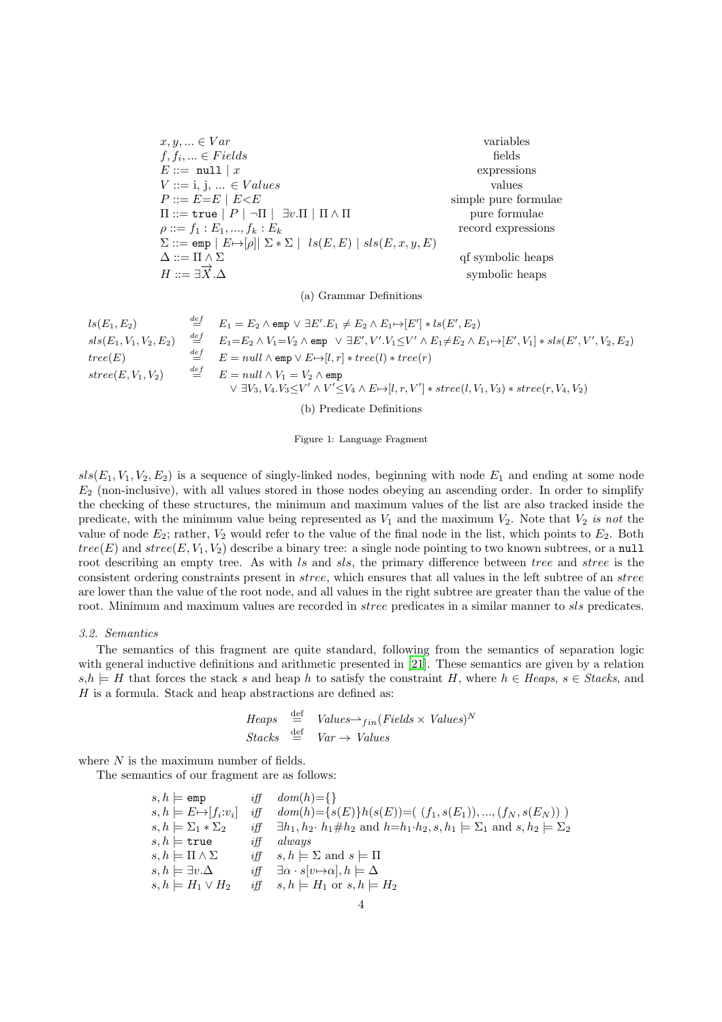<span id="page-3-1"></span> $x, y, \ldots \in Var$  variables  $f, f_i, \ldots \in Fields$  fields  $E ::= \text{null} \mid x$  expressions  $V ::= i, j, ... \in Values$  values  $P ::= E = E \mid E \le E$  simple pure formulae  $\Pi ::=$  true  $|P| \neg \Pi | \exists v.\Pi | \Pi \wedge \Pi$  pure formulae  $\rho ::= f_1 : E_1, ..., f_k : E_k$  record expressions  $\Sigma ::=$ emp  $|E \mapsto [\rho]| \Sigma * \Sigma |ls(E, E) | sls(E, x, y, E)$  $\Delta ::= \Pi \wedge \Sigma$  qf symbolic heaps  $H ::= \exists \overrightarrow{X} . \Delta$ symbolic heaps

(a) Grammar Definitions

$$
ls(E_1, E_2) \t\begin{aligned}\n&\stackrel{def}{=} E_1 = E_2 \land \text{emp} \lor \exists E'.E_1 \neq E_2 \land E_1 \rightarrow [E'] * ls(E', E_2) \\
&\text{sls}(E_1, V_1, V_2, E_2) \t\begin{aligned}\n&\stackrel{def}{=} E_1 = E_2 \land V_1 = V_2 \land \text{emp} \lor \exists E', V'.V_1 \leq V' \land E_1 \neq E_2 \land E_1 \rightarrow [E', V_1] * sls(E', V', V_2, E_2) \\
&\stackrel{def}{=} E = null \land \text{emp} \lor E \rightarrow [l, r] * tree(l) * tree(r) \\
&\text{stree}(E, V_1, V_2) \t\begin{aligned}\n&\stackrel{def}{=} E = null \land V_1 = V_2 \land \text{emp} \\
&\quad \lor \exists V_3, V_4. V_3 \leq V' \land V' \leq V_4 \land E \rightarrow [l, r, V'] * stree(l, V_1, V_3) * stree(r, V_4, V_2)\n\end{aligned}\n\end{aligned}
$$

(b) Predicate Definitions

Figure 1: Language Fragment

 $sls(E_1, V_1, V_2, E_2)$  is a sequence of singly-linked nodes, beginning with node  $E_1$  and ending at some node  $E_2$  (non-inclusive), with all values stored in those nodes obeying an ascending order. In order to simplify the checking of these structures, the minimum and maximum values of the list are also tracked inside the predicate, with the minimum value being represented as  $V_1$  and the maximum  $V_2$ . Note that  $V_2$  is not the value of node  $E_2$ ; rather,  $V_2$  would refer to the value of the final node in the list, which points to  $E_2$ . Both  $tree(E)$  and  $stree(E, V_1, V_2)$  describe a binary tree: a single node pointing to two known subtrees, or a null root describing an empty tree. As with ls and sls, the primary difference between tree and stree is the consistent ordering constraints present in stree, which ensures that all values in the left subtree of an stree are lower than the value of the root node, and all values in the right subtree are greater than the value of the root. Minimum and maximum values are recorded in *stree* predicates in a similar manner to *sls* predicates.

### <span id="page-3-0"></span>3.2. Semantics

The semantics of this fragment are quite standard, following from the semantics of separation logic with general inductive definitions and arithmetic presented in [\[21](#page-21-19)]. These semantics are given by a relation  $s,h \models H$  that forces the stack s and heap h to satisfy the constraint H, where  $h \in Heaps$ , s  $\in Stacks$ , and H is a formula. Stack and heap abstractions are defined as:

Heaps 
$$
\stackrel{\text{def}}{=}
$$
 Values $\rightarrow_{fin}$  (Fields  $\times$  Values)<sup>N</sup>  
Stacks  $\stackrel{\text{def}}{=}$  Var  $\rightarrow$  Values

where  $N$  is the maximum number of fields.

The semantics of our fragment are as follows:

| $s, h \models$ emp                   | if f   | $dom(h)=\{\}\$                                                                                                   |
|--------------------------------------|--------|------------------------------------------------------------------------------------------------------------------|
| $s, h \models E \mapsto [f_i : v_i]$ | $i$ ff | $dom(h) = \{s(E)\}h(s(E)) = (f_1, s(E_1)), , (f_N, s(E_N))$                                                      |
| $s, h \models \Sigma_1 * \Sigma_2$   | iff    | $\exists h_1, h_2 \cdot h_1 \# h_2$ and $h=h_1 \cdot h_2, s, h_1 \models \Sigma_1$ and $s, h_2 \models \Sigma_2$ |
| $s, h \models$ true                  | iff    | always                                                                                                           |
| $s, h \models \Pi \wedge \Sigma$     | $i$ ff | $s, h \models \Sigma$ and $s \models \Pi$                                                                        |
| $s, h \models \exists v. \Delta$     | $i$ ff | $\exists \alpha \cdot s[v \mapsto \alpha], h \models \Delta$                                                     |
| $s, h \models H_1 \vee H_2$          | $i$ ff | $s, h \models H_1 \text{ or } s, h \models H_2$                                                                  |
|                                      |        |                                                                                                                  |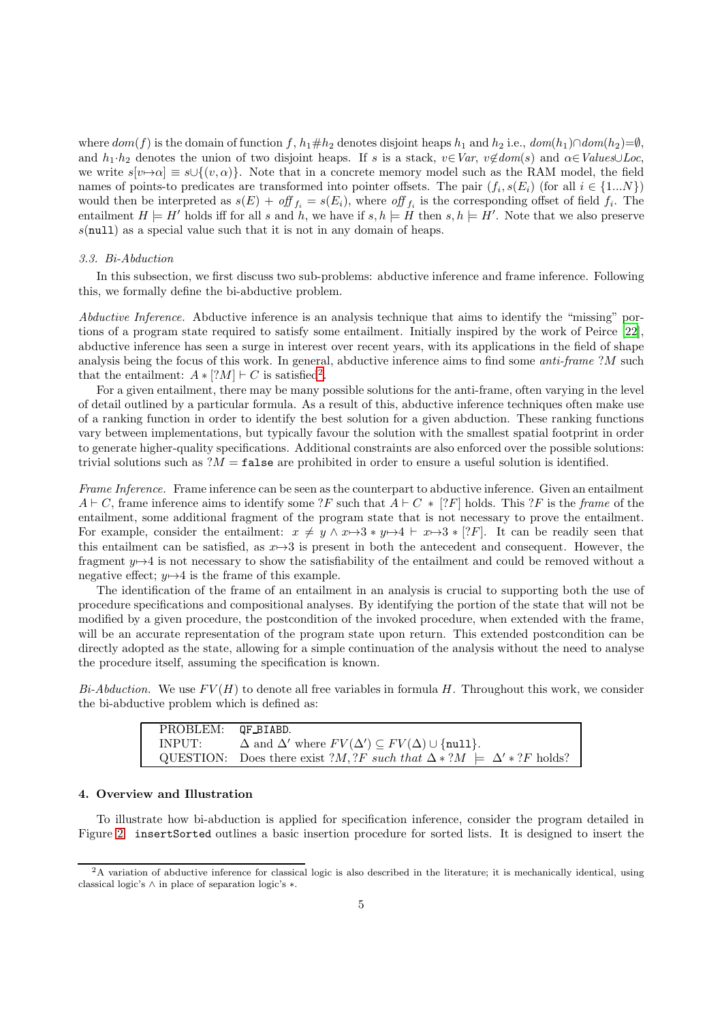where  $dom(f)$  is the domain of function f,  $h_1 \# h_2$  denotes disjoint heaps  $h_1$  and  $h_2$  i.e.,  $dom(h_1) \cap dom(h_2) = \emptyset$ , and  $h_1 \cdot h_2$  denotes the union of two disjoint heaps. If s is a stack,  $v \in Var$ ,  $v \notin dom(s)$  and  $\alpha \in Values\cup Loc$ , we write  $s[v\rightarrow\alpha] \equiv s\cup\{(v,\alpha)\}\.$  Note that in a concrete memory model such as the RAM model, the field names of points-to predicates are transformed into pointer offsets. The pair  $(f_i, s(E_i))$  (for all  $i \in \{1...N\}$ ) would then be interpreted as  $s(E) + off_{f_i} = s(E_i)$ , where off  $f_i$  is the corresponding offset of field  $f_i$ . The entailment  $H \models H'$  holds iff for all s and h, we have if  $s, h \models H$  then  $s, h \models H'$ . Note that we also preserve  $s$ (null) as a special value such that it is not in any domain of heaps.

# <span id="page-4-1"></span>3.3. Bi-Abduction

In this subsection, we first discuss two sub-problems: abductive inference and frame inference. Following this, we formally define the bi-abductive problem.

Abductive Inference. Abductive inference is an analysis technique that aims to identify the "missing" portions of a program state required to satisfy some entailment. Initially inspired by the work of Peirce [\[22](#page-21-20)], abductive inference has seen a surge in interest over recent years, with its applications in the field of shape analysis being the focus of this work. In general, abductive inference aims to find some *anti-frame* ?M such that the entailment:  $A * [?M] \vdash C$  is satisfied<sup>[2](#page-4-2)</sup>.

For a given entailment, there may be many possible solutions for the anti-frame, often varying in the level of detail outlined by a particular formula. As a result of this, abductive inference techniques often make use of a ranking function in order to identify the best solution for a given abduction. These ranking functions vary between implementations, but typically favour the solution with the smallest spatial footprint in order to generate higher-quality specifications. Additional constraints are also enforced over the possible solutions: trivial solutions such as  $M = \texttt{false}$  are prohibited in order to ensure a useful solution is identified.

Frame Inference. Frame inference can be seen as the counterpart to abductive inference. Given an entailment  $A \vdash C$ , frame inference aims to identify some ?F such that  $A \vdash C * [?F]$  holds. This ?F is the frame of the entailment, some additional fragment of the program state that is not necessary to prove the entailment. For example, consider the entailment:  $x \neq y \land x \mapsto 3*y \mapsto 4 \vdash x \mapsto 3*[?F]$ . It can be readily seen that this entailment can be satisfied, as  $x \mapsto 3$  is present in both the antecedent and consequent. However, the fragment  $y \mapsto 4$  is not necessary to show the satisfiability of the entailment and could be removed without a negative effect;  $y \mapsto 4$  is the frame of this example.

The identification of the frame of an entailment in an analysis is crucial to supporting both the use of procedure specifications and compositional analyses. By identifying the portion of the state that will not be modified by a given procedure, the postcondition of the invoked procedure, when extended with the frame, will be an accurate representation of the program state upon return. This extended postcondition can be directly adopted as the state, allowing for a simple continuation of the analysis without the need to analyse the procedure itself, assuming the specification is known.

 $Bi-Abduction.$  We use  $FV(H)$  to denote all free variables in formula H. Throughout this work, we consider the bi-abductive problem which is defined as:

| PROBLEM: QF_BIABD. |                                                                                                        |
|--------------------|--------------------------------------------------------------------------------------------------------|
| INPUT:             | $\Delta$ and $\Delta'$ where $FV(\Delta') \subseteq FV(\Delta) \cup \{\text{null}\}.$                  |
|                    | QUESTION: Does there exist ? <i>M</i> , ? <i>F</i> such that $\Delta * ?M \models \Delta' * ?F$ holds? |

### <span id="page-4-0"></span>4. Overview and Illustration

To illustrate how bi-abduction is applied for specification inference, consider the program detailed in Figure [2.](#page-5-0) insertSorted outlines a basic insertion procedure for sorted lists. It is designed to insert the

<span id="page-4-2"></span><sup>2</sup>A variation of abductive inference for classical logic is also described in the literature; it is mechanically identical, using classical logic's ∧ in place of separation logic's ∗.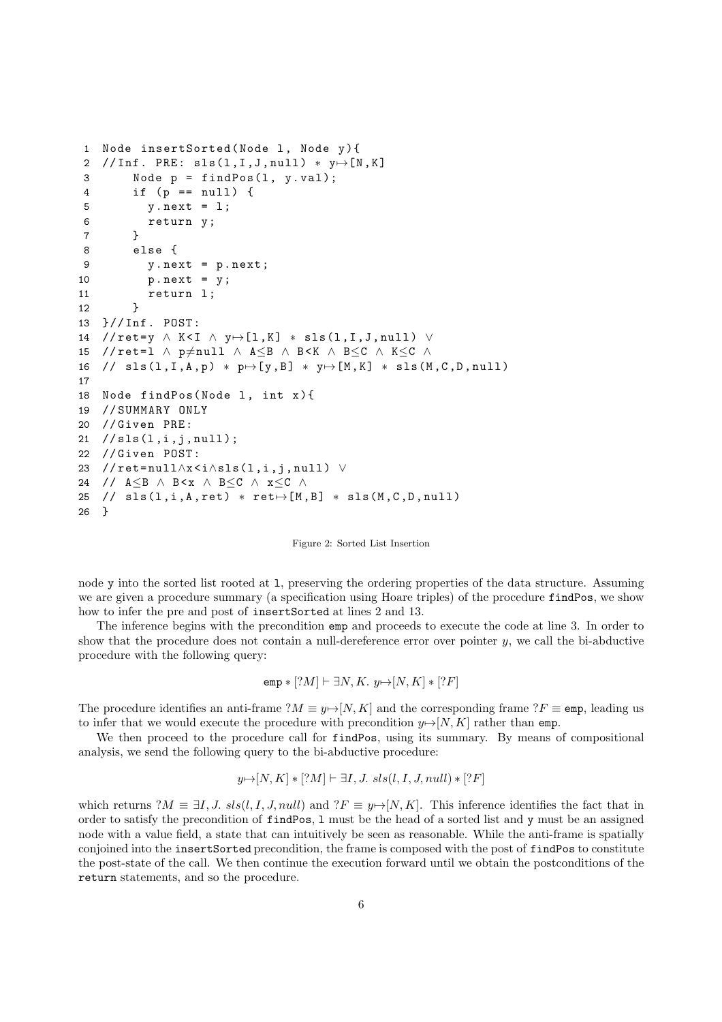```
1 Node insertSorted(Node 1, Node y){
2 //Inf. PRE: sls(1,I,J,null) * y \mapsto [N,K]3 Node p = findPos(1, y.val);4 if (p == null ) {
5 y. next = 1;
6 return y;
 7 }
8 else {
9 y.next = p.next;
10 p. next = y ;
11 return l;
12 }
13 }// Inf . POST :
14 // ret=y \land K < I \land y \mapsto [1, K] * sls (1, I, J, null) \lor15 //ret=1 \land p\neqnull \land A\leqB \land B\ltK \land B\leqC \land K\leqC \land16 // sls(1, I, A, p) * p \mapsto [y, B] * y \mapsto [M, K] * sls(M, C, D, null)17
18 Node findPos(Node 1, int x){
19 // SUMMARY ONLY
20 // Given PRE :
21 / / sls(1, i, j, null);22 // Given POST:
23 //ret=null∧x<i∧sls(l,i,j,null) ∨
24 // A≤B ∧ B < x ∧ B ≤ C ∧ x ≤ C ∧
25 // sls(1, i, A, ret) * ret \mapsto [M, B] * sls(M, C, D, null)26 }
```
Figure 2: Sorted List Insertion

node y into the sorted list rooted at l, preserving the ordering properties of the data structure. Assuming we are given a procedure summary (a specification using Hoare triples) of the procedure findPos, we show how to infer the pre and post of insertSorted at lines 2 and 13.

The inference begins with the precondition emp and proceeds to execute the code at line 3. In order to show that the procedure does not contain a null-dereference error over pointer  $y$ , we call the bi-abductive procedure with the following query:

$$
emp * [?M] \vdash \exists N, K. y \mapsto [N, K] * [?F]
$$

The procedure identifies an anti-frame  $?M \equiv y \mapsto [N, K]$  and the corresponding frame  $?F \equiv \text{emp}$ , leading us to infer that we would execute the procedure with precondition  $y \rightarrow [N, K]$  rather than emp.

We then proceed to the procedure call for **findPos**, using its summary. By means of compositional analysis, we send the following query to the bi-abductive procedure:

$$
y \mapsto [N, K] * [?M] \vdash \exists I, J. \ sls(l, I, J, null) * [?F]
$$

which returns  $?M \equiv \exists I, J.$  sls $(l, I, J, null)$  and  $?F \equiv y \rightarrow [N, K]$ . This inference identifies the fact that in order to satisfy the precondition of findPos, l must be the head of a sorted list and y must be an assigned node with a value field, a state that can intuitively be seen as reasonable. While the anti-frame is spatially conjoined into the insertSorted precondition, the frame is composed with the post of findPos to constitute the post-state of the call. We then continue the execution forward until we obtain the postconditions of the return statements, and so the procedure.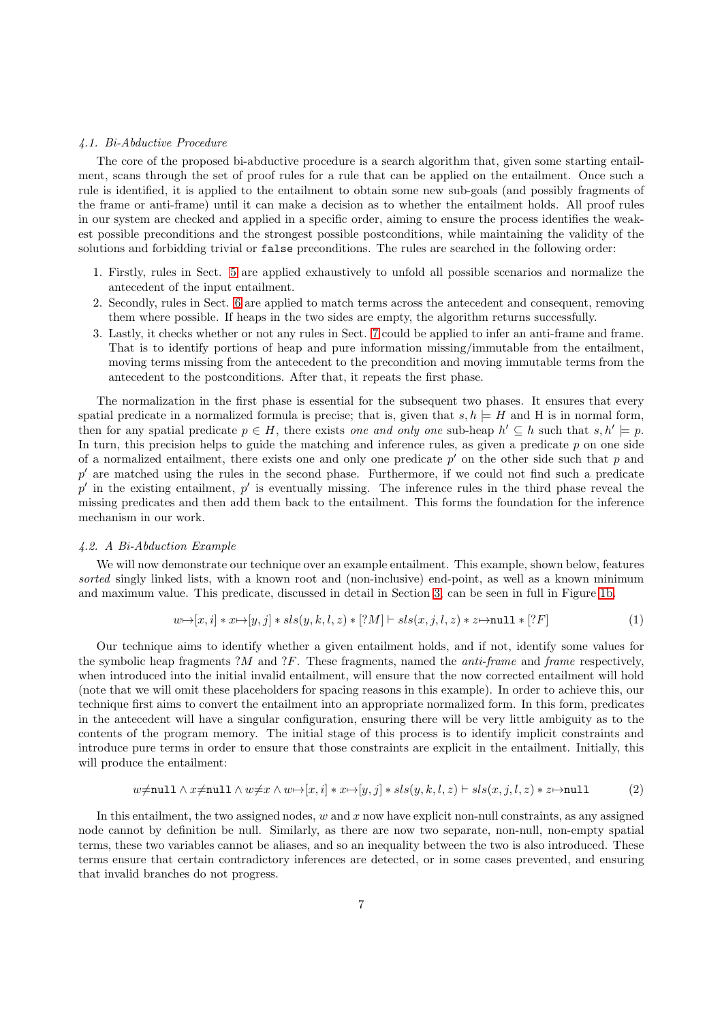### 4.1. Bi-Abductive Procedure

The core of the proposed bi-abductive procedure is a search algorithm that, given some starting entailment, scans through the set of proof rules for a rule that can be applied on the entailment. Once such a rule is identified, it is applied to the entailment to obtain some new sub-goals (and possibly fragments of the frame or anti-frame) until it can make a decision as to whether the entailment holds. All proof rules in our system are checked and applied in a specific order, aiming to ensure the process identifies the weakest possible preconditions and the strongest possible postconditions, while maintaining the validity of the solutions and forbidding trivial or false preconditions. The rules are searched in the following order:

- 1. Firstly, rules in Sect. [5](#page-8-0) are applied exhaustively to unfold all possible scenarios and normalize the antecedent of the input entailment.
- 2. Secondly, rules in Sect. [6](#page-9-0) are applied to match terms across the antecedent and consequent, removing them where possible. If heaps in the two sides are empty, the algorithm returns successfully.
- 3. Lastly, it checks whether or not any rules in Sect. [7](#page-11-0) could be applied to infer an anti-frame and frame. That is to identify portions of heap and pure information missing/immutable from the entailment, moving terms missing from the antecedent to the precondition and moving immutable terms from the antecedent to the postconditions. After that, it repeats the first phase.

The normalization in the first phase is essential for the subsequent two phases. It ensures that every spatial predicate in a normalized formula is precise; that is, given that  $s, h \models H$  and H is in normal form, then for any spatial predicate  $p \in H$ , there exists one and only one sub-heap  $h' \subseteq h$  such that  $s, h' \models p$ . In turn, this precision helps to guide the matching and inference rules, as given a predicate  $p$  on one side of a normalized entailment, there exists one and only one predicate  $p'$  on the other side such that p and p ′ are matched using the rules in the second phase. Furthermore, if we could not find such a predicate  $p'$  in the existing entailment,  $p'$  is eventually missing. The inference rules in the third phase reveal the missing predicates and then add them back to the entailment. This forms the foundation for the inference mechanism in our work.

#### 4.2. A Bi-Abduction Example

We will now demonstrate our technique over an example entailment. This example, shown below, features sorted singly linked lists, with a known root and (non-inclusive) end-point, as well as a known minimum and maximum value. This predicate, discussed in detail in Section [3,](#page-2-1) can be seen in full in Figure [1b.](#page-3-1)

$$
w \mapsto [x, i] * x \mapsto [y, j] * sls(y, k, l, z) * [?M] \vdash sls(x, j, l, z) * z \mapsto \text{null} * [?F]
$$
\n
$$
(1)
$$

Our technique aims to identify whether a given entailment holds, and if not, identify some values for the symbolic heap fragments  $?M$  and  $?F$ . These fragments, named the *anti-frame* and *frame* respectively, when introduced into the initial invalid entailment, will ensure that the now corrected entailment will hold (note that we will omit these placeholders for spacing reasons in this example). In order to achieve this, our technique first aims to convert the entailment into an appropriate normalized form. In this form, predicates in the antecedent will have a singular configuration, ensuring there will be very little ambiguity as to the contents of the program memory. The initial stage of this process is to identify implicit constraints and introduce pure terms in order to ensure that those constraints are explicit in the entailment. Initially, this will produce the entailment:

$$
w \neq \text{null} \land x \neq \text{null} \land w \neq x \land w \rightarrow [x, i] * x \rightarrow [y, j] * sls(y, k, l, z) \vdash sls(x, j, l, z) * z \mapsto \text{null} \tag{2}
$$

In this entailment, the two assigned nodes,  $w$  and  $x$  now have explicit non-null constraints, as any assigned node cannot by definition be null. Similarly, as there are now two separate, non-null, non-empty spatial terms, these two variables cannot be aliases, and so an inequality between the two is also introduced. These terms ensure that certain contradictory inferences are detected, or in some cases prevented, and ensuring that invalid branches do not progress.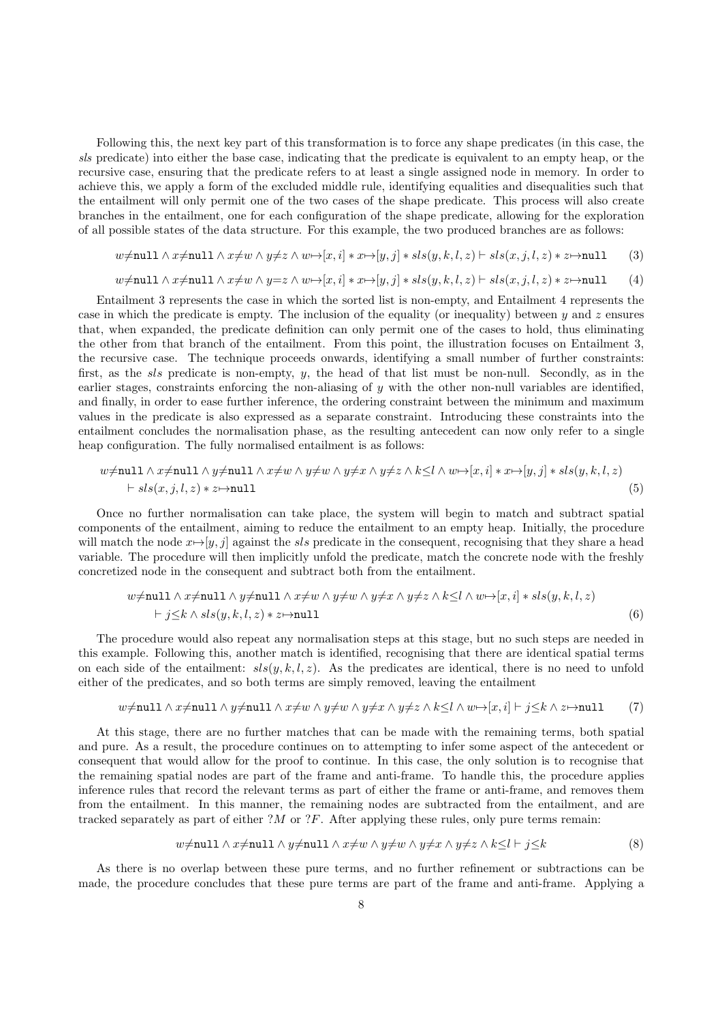Following this, the next key part of this transformation is to force any shape predicates (in this case, the sls predicate) into either the base case, indicating that the predicate is equivalent to an empty heap, or the recursive case, ensuring that the predicate refers to at least a single assigned node in memory. In order to achieve this, we apply a form of the excluded middle rule, identifying equalities and disequalities such that the entailment will only permit one of the two cases of the shape predicate. This process will also create branches in the entailment, one for each configuration of the shape predicate, allowing for the exploration of all possible states of the data structure. For this example, the two produced branches are as follows:

$$
w \neq \texttt{null} \land x \neq \texttt{null} \land x \neq w \land y \neq z \land w \mapsto [x, i] * x \mapsto [y, j] * sls(y, k, l, z) \vdash sls(x, j, l, z) * z \mapsto \texttt{null} \tag{3}
$$

$$
w \neq \texttt{null} \land x \neq \texttt{null} \land x \neq w \land y = z \land w \mapsto [x, i] * x \mapsto [y, j] * sls(y, k, l, z) \vdash sls(x, j, l, z) * z \mapsto \texttt{null} \tag{4}
$$

Entailment 3 represents the case in which the sorted list is non-empty, and Entailment 4 represents the case in which the predicate is empty. The inclusion of the equality (or inequality) between  $y$  and z ensures that, when expanded, the predicate definition can only permit one of the cases to hold, thus eliminating the other from that branch of the entailment. From this point, the illustration focuses on Entailment 3, the recursive case. The technique proceeds onwards, identifying a small number of further constraints: first, as the sls predicate is non-empty, y, the head of that list must be non-null. Secondly, as in the earlier stages, constraints enforcing the non-aliasing of  $y$  with the other non-null variables are identified, and finally, in order to ease further inference, the ordering constraint between the minimum and maximum values in the predicate is also expressed as a separate constraint. Introducing these constraints into the entailment concludes the normalisation phase, as the resulting antecedent can now only refer to a single heap configuration. The fully normalised entailment is as follows:

$$
w \neq \text{null} \land x \neq \text{null} \land y \neq \text{null} \land x \neq w \land y \neq w \land y \neq x \land y \neq z \land k \leq l \land w \mapsto [x, i] * x \mapsto [y, j] * sls(y, k, l, z)
$$
  
 
$$
\vdash sls(x, j, l, z) * z \mapsto \text{null}
$$
 (5)

Once no further normalisation can take place, the system will begin to match and subtract spatial components of the entailment, aiming to reduce the entailment to an empty heap. Initially, the procedure will match the node  $x\mapsto[y, j]$  against the sls predicate in the consequent, recognising that they share a head variable. The procedure will then implicitly unfold the predicate, match the concrete node with the freshly concretized node in the consequent and subtract both from the entailment.

$$
w \neq \text{null} \land x \neq \text{null} \land y \neq \text{null} \land x \neq w \land y \neq w \land y \neq x \land y \neq z \land k \leq l \land w \rightarrow [x, i] * sls(y, k, l, z)
$$
  
 
$$
\vdash j \leq k \land sls(y, k, l, z) * z \mapsto \text{null}
$$
 (6)

The procedure would also repeat any normalisation steps at this stage, but no such steps are needed in this example. Following this, another match is identified, recognising that there are identical spatial terms on each side of the entailment:  $sls(y, k, l, z)$ . As the predicates are identical, there is no need to unfold either of the predicates, and so both terms are simply removed, leaving the entailment

$$
w \neq \text{null} \land x \neq \text{null} \land y \neq \text{null} \land x \neq w \land y \neq w \land y \neq x \land y \neq z \land k \leq l \land w \mapsto [x, i] \vdash j \leq k \land z \mapsto \text{null} \tag{7}
$$

At this stage, there are no further matches that can be made with the remaining terms, both spatial and pure. As a result, the procedure continues on to attempting to infer some aspect of the antecedent or consequent that would allow for the proof to continue. In this case, the only solution is to recognise that the remaining spatial nodes are part of the frame and anti-frame. To handle this, the procedure applies inference rules that record the relevant terms as part of either the frame or anti-frame, and removes them from the entailment. In this manner, the remaining nodes are subtracted from the entailment, and are tracked separately as part of either  $?M$  or  $?F$ . After applying these rules, only pure terms remain:

$$
w \neq \text{null} \land x \neq \text{null} \land y \neq \text{null} \land x \neq w \land y \neq w \land y \neq x \land y \neq z \land k \leq l \vdash j \leq k
$$
 (8)

As there is no overlap between these pure terms, and no further refinement or subtractions can be made, the procedure concludes that these pure terms are part of the frame and anti-frame. Applying a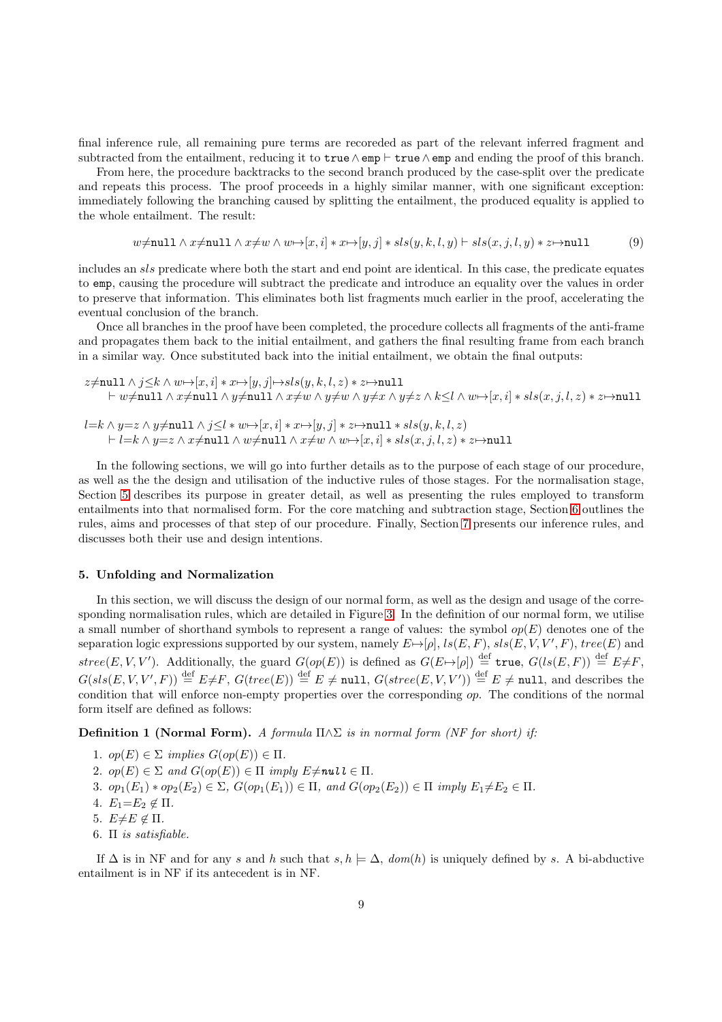final inference rule, all remaining pure terms are recoreded as part of the relevant inferred fragment and subtracted from the entailment, reducing it to true∧emp ⊢ true∧emp and ending the proof of this branch.

From here, the procedure backtracks to the second branch produced by the case-split over the predicate and repeats this process. The proof proceeds in a highly similar manner, with one significant exception: immediately following the branching caused by splitting the entailment, the produced equality is applied to the whole entailment. The result:

$$
w \neq \text{null} \land x \neq \text{null} \land x \neq w \land w \rightarrow [x, i] * x \rightarrow [y, j] * sls(y, k, l, y) \vdash sls(x, j, l, y) * z \mapsto \text{null} \tag{9}
$$

includes an sls predicate where both the start and end point are identical. In this case, the predicate equates to emp, causing the procedure will subtract the predicate and introduce an equality over the values in order to preserve that information. This eliminates both list fragments much earlier in the proof, accelerating the eventual conclusion of the branch.

Once all branches in the proof have been completed, the procedure collects all fragments of the anti-frame and propagates them back to the initial entailment, and gathers the final resulting frame from each branch in a similar way. Once substituted back into the initial entailment, we obtain the final outputs:

$$
\begin{array}{l} z\neq \texttt{null} \wedge j\leq k \wedge w \mapsto [x,i]*x \mapsto [y,j] \mapsto sls(y,k,l,z)*z \mapsto \texttt{null}\\ \vdash w\neq \texttt{null} \wedge x\neq \texttt{null} \wedge y\neq \texttt{null} \wedge x\neq w \wedge y\neq w \wedge y\neq x \wedge y\neq z \wedge k \leq l \wedge w \mapsto [x,i]*sls(x,j,l,z)*z \mapsto \texttt{null}\\ \end{array}
$$

$$
l = k \land y = z \land y \neq \texttt{null} \land j \leq l * w \mapsto [x, i] * x \mapsto [y, j] * z \mapsto \texttt{null} * sls(y, k, l, z)
$$
  
 
$$
\vdash l = k \land y = z \land x \neq \texttt{null} \land w \neq \texttt{null} \land x \neq w \land w \mapsto [x, i] * sls(x, j, l, z) * z \mapsto \texttt{null}
$$

In the following sections, we will go into further details as to the purpose of each stage of our procedure, as well as the the design and utilisation of the inductive rules of those stages. For the normalisation stage, Section [5](#page-8-0) describes its purpose in greater detail, as well as presenting the rules employed to transform entailments into that normalised form. For the core matching and subtraction stage, Section [6](#page-9-0) outlines the rules, aims and processes of that step of our procedure. Finally, Section [7](#page-11-0) presents our inference rules, and discusses both their use and design intentions.

#### <span id="page-8-0"></span>5. Unfolding and Normalization

In this section, we will discuss the design of our normal form, as well as the design and usage of the corresponding normalisation rules, which are detailed in Figure [3.](#page-9-1) In the definition of our normal form, we utilise a small number of shorthand symbols to represent a range of values: the symbol  $op(E)$  denotes one of the separation logic expressions supported by our system, namely  $E \mapsto [\rho], \, ls(E, F), \, sls(E, V, V', F), \, tree(E)$  and  $stree(E, V, V')$ . Additionally, the guard  $G(op(E))$  is defined as  $G(E \mapsto [\rho]) \stackrel{\text{def}}{=} \text{true}, G(ls(E, F)) \stackrel{\text{def}}{=} E \neq F$ ,  $G(sls(E, V, V', F)) \stackrel{\text{def}}{=} E \neq F$ ,  $G(tree(E)) \stackrel{\text{def}}{=} E \neq \text{null}$ ,  $G(stree(E, V, V')) \stackrel{\text{def}}{=} E \neq \text{null}$ , and describes the condition that will enforce non-empty properties over the corresponding  $op$ . The conditions of the normal form itself are defined as follows:

**Definition 1 (Normal Form).** A formula  $\Pi \wedge \Sigma$  is in normal form (NF for short) if:

- 1.  $op(E) \in \Sigma$  implies  $G(op(E)) \in \Pi$ .
- 2.  $op(E) \in \Sigma$  and  $G(op(E)) \in \Pi$  imply  $E \neq null \in \Pi$ .
- 3.  $op_1(E_1) * op_2(E_2) \in \Sigma$ ,  $G(op_1(E_1)) \in \Pi$ , and  $G(op_2(E_2)) \in \Pi$  imply  $E_1 \neq E_2 \in \Pi$ .
- 4.  $E_1 = E_2 \notin \Pi$ .
- 5.  $E\neq E \notin \Pi$ .
- 6.  $\Pi$  is satisfiable.

If  $\Delta$  is in NF and for any s and h such that  $s, h \models \Delta$ , dom(h) is uniquely defined by s. A bi-abductive entailment is in NF if its antecedent is in NF.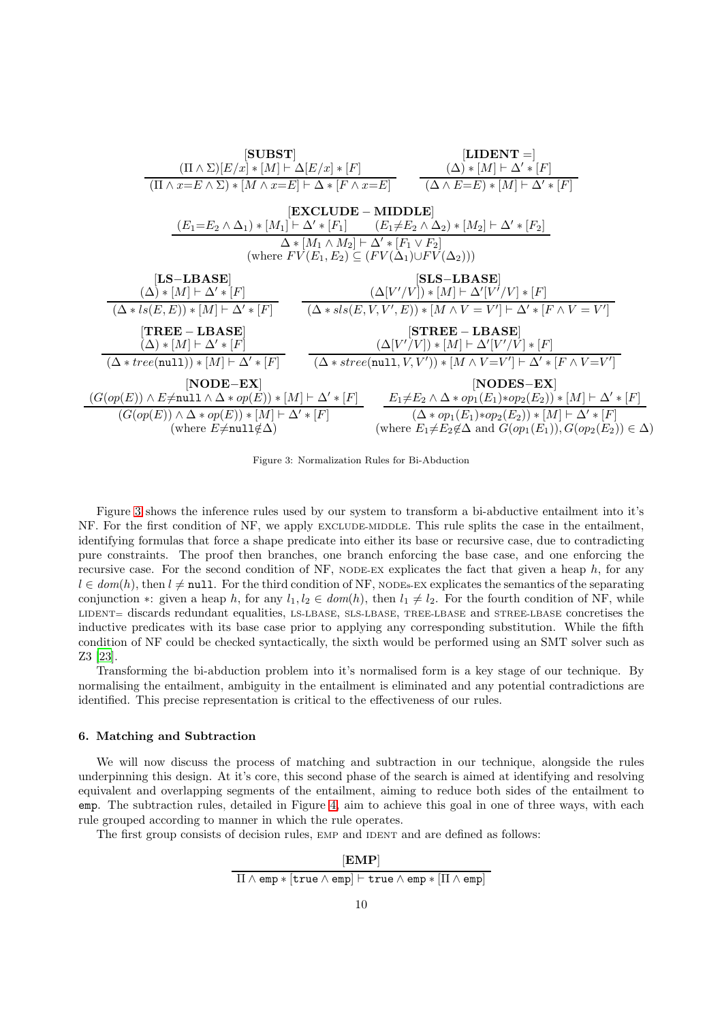<span id="page-9-1"></span>

Figure 3: Normalization Rules for Bi-Abduction

Figure [3](#page-9-1) shows the inference rules used by our system to transform a bi-abductive entailment into it's NF. For the first condition of NF, we apply EXCLUDE-MIDDLE. This rule splits the case in the entailment, identifying formulas that force a shape predicate into either its base or recursive case, due to contradicting pure constraints. The proof then branches, one branch enforcing the base case, and one enforcing the recursive case. For the second condition of  $NF$ , NODE-EX explicates the fact that given a heap  $h$ , for any  $l \in dom(h)$ , then  $l \neq \text{null}$ . For the third condition of NF, NODEs-EX explicates the semantics of the separating conjunction ∗: given a heap h, for any  $l_1, l_2 \in dom(h)$ , then  $l_1 \neq l_2$ . For the fourth condition of NF, while LIDENT= discards redundant equalities, LS-LBASE, SLS-LBASE, TREE-LBASE and STREE-LBASE concretises the inductive predicates with its base case prior to applying any corresponding substitution. While the fifth condition of NF could be checked syntactically, the sixth would be performed using an SMT solver such as Z3 [\[23\]](#page-21-21).

Transforming the bi-abduction problem into it's normalised form is a key stage of our technique. By normalising the entailment, ambiguity in the entailment is eliminated and any potential contradictions are identified. This precise representation is critical to the effectiveness of our rules.

# <span id="page-9-0"></span>6. Matching and Subtraction

We will now discuss the process of matching and subtraction in our technique, alongside the rules underpinning this design. At it's core, this second phase of the search is aimed at identifying and resolving equivalent and overlapping segments of the entailment, aiming to reduce both sides of the entailment to emp. The subtraction rules, detailed in Figure [4,](#page-10-0) aim to achieve this goal in one of three ways, with each rule grouped according to manner in which the rule operates.

The first group consists of decision rules, EMP and IDENT and are defined as follows:

$$
\frac{\textbf{[EMP]}}{\Pi \wedge \texttt{emp} * [\texttt{true} \wedge \texttt{emp}] \vdash \texttt{true} \wedge \texttt{emp} * [\Pi \wedge \texttt{emp}]}
$$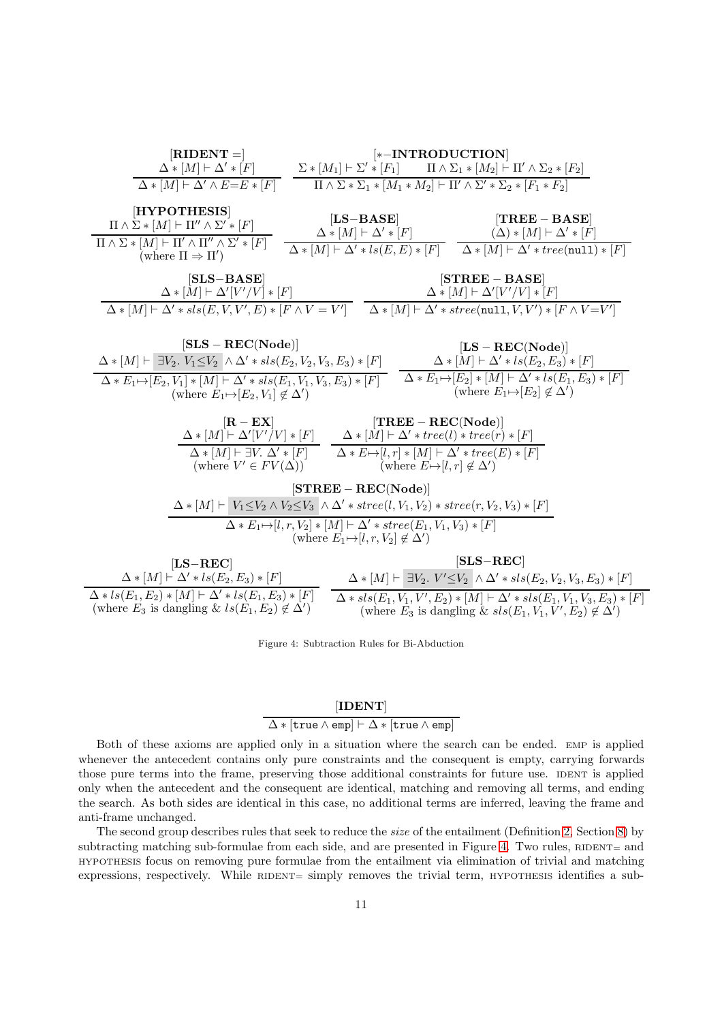<span id="page-10-0"></span>

| $[RIDENT =]$                                                                                                                                                                                                                                                               | $[*-INTRODUCTION]$                                                                                                                                                                                                                                                                                     |                                                                                                                                                                                                                                                                              |
|----------------------------------------------------------------------------------------------------------------------------------------------------------------------------------------------------------------------------------------------------------------------------|--------------------------------------------------------------------------------------------------------------------------------------------------------------------------------------------------------------------------------------------------------------------------------------------------------|------------------------------------------------------------------------------------------------------------------------------------------------------------------------------------------------------------------------------------------------------------------------------|
|                                                                                                                                                                                                                                                                            | $\Delta * [M] \vdash \Delta' * [F] \qquad \qquad \Sigma * [M_1] \vdash \Sigma' * [F_1] \qquad \qquad \Pi \wedge \Sigma_1 * [M_2] \vdash \Pi' \wedge \Sigma_2 * [F_2]$                                                                                                                                  |                                                                                                                                                                                                                                                                              |
| $\Delta * [M] \vdash \Delta' \wedge E = E * [F]$                                                                                                                                                                                                                           | $\Pi \wedge \Sigma * \Sigma_1 * [M_1 * M_2] \vdash \Pi' \wedge \Sigma' * \Sigma_2 * [F_1 * F_2]$                                                                                                                                                                                                       |                                                                                                                                                                                                                                                                              |
| [HYPOTHESIS]<br>$\Pi \wedge \Sigma * [M] \vdash \Pi'' \wedge \Sigma' * [F]$<br>$\Pi \wedge \Sigma * [M] \vdash \Pi' \wedge \Pi'' \wedge \Sigma' * [F]$<br>(where $\Pi \Rightarrow \Pi'$ )                                                                                  | $[LS-BASE]$<br>$\Delta * [M] \vdash \Delta' * [F]$                                                                                                                                                                                                                                                     | $[TREE - BASE]$<br>$(\Delta) * [M] \vdash \Delta' * [F]$<br>$\Delta * [M] \vdash \Delta' * ls(E, E) * [F]$ $\Delta * [M] \vdash \Delta' * tree(\text{null}) * [F]$                                                                                                           |
| $[SLS-BASE]$<br>$\Delta * [M] \vdash \Delta' [V'/V] * [F]$<br>$\Delta * [M] \vdash \Delta' * sls(E, V, V', E) * [F \wedge V = V'] \quad \Delta * [M] \vdash \Delta' * \text{stree}(\text{null}, V, V') * [F \wedge V = V']$                                                |                                                                                                                                                                                                                                                                                                        | $[\textbf{STREE} - \textbf{BASE}]$<br>$\Delta * [M] \vdash \Delta' [V'/V] * [F]$                                                                                                                                                                                             |
| $[SLS - REC(Node)]$<br>$\Delta * [M] \vdash \exists V_2. V_1 \leq V_2 \land \Delta' * sls(E_2, V_2, V_3, E_3) * [F]$<br>$\Delta * E_1 \rightarrow [E_2, V_1] * [M] \vdash \Delta' * sls(E_1, V_1, V_3, E_3) * [F]$<br>(where $E_1 \rightarrow [E_2, V_1] \notin \Delta'$ ) |                                                                                                                                                                                                                                                                                                        | $[LS - REC(Node)]$<br>$\Delta * [M] \vdash \Delta' * ls(E_2, E_3) * [F]$<br>$\Delta * E_1 \mapsto [E_2] * [M] \vdash \Delta' * ls(E_1, E_3) * [F]$<br>(where $E_1 \mapsto [E_2] \notin \Delta'$ )                                                                            |
| $[{\bf R}-{\bf E}{\bf X}]$<br>(where $V' \in FV(\Delta)$ )                                                                                                                                                                                                                 | $[TREE - REC(Node)]$<br>$\Delta * [M] \vdash \Delta'[V'/V] * [F] \qquad \Delta * [M] \vdash \Delta' * tree(l) * tree(r) * [F]$<br>$\Delta * [M] \vdash \exists V. \ \Delta' * [F] \qquad \Delta * E \mapsto [l, r] * [M] \vdash \Delta' * tree(E) * [F]$<br>(where $E \mapsto [l, r] \notin \Delta'$ ) |                                                                                                                                                                                                                                                                              |
|                                                                                                                                                                                                                                                                            | $[\text{STREE} - \text{REC}(\text{Node})]$<br>$\Delta * [M] \vdash V_1 \leq V_2 \land V_2 \leq V_3 \land \Delta' * \mathit{stree}(l, V_1, V_2) * \mathit{stree}(r, V_2, V_3) * [F]$                                                                                                                    |                                                                                                                                                                                                                                                                              |
|                                                                                                                                                                                                                                                                            | $\Delta * E_1 \rightarrow [l, r, V_2] * [M] \vdash \Delta' * \text{stree}(E_1, V_1, V_3) * [F]$<br>(where $E_1 \mapsto [l, r, V_2] \notin \Delta'$ )                                                                                                                                                   |                                                                                                                                                                                                                                                                              |
| $[LS-REC]$<br>$\Delta * [M] \vdash \Delta' * ls(E_2, E_3) * [F]$<br>$\Delta * ls(E_1, E_2) * [M] \vdash \Delta' * ls(E_1, E_3) * [F]$<br>(where $E_3$ is dangling & $ls(E_1, E_2) \notin \Delta'$ )                                                                        |                                                                                                                                                                                                                                                                                                        | $[SLS-REC]$<br>$\Delta * [M \vdash \exists V_2. V' \leq V_2 \land \Delta' * sls(E_2, V_2, V_3, E_3) * [F]$<br>$\Delta * sls(E_1, V_1, V', E_2) * [M] \vdash \Delta' * sls(E_1, V_1, V_3, E_3) * [F]$<br>(where $E_3$ is dangling & $sls(E_1, V_1, V', E_2) \notin \Delta'$ ) |
|                                                                                                                                                                                                                                                                            |                                                                                                                                                                                                                                                                                                        |                                                                                                                                                                                                                                                                              |

Figure 4: Subtraction Rules for Bi-Abduction

# [IDENT]

### $\Delta * [\mathtt{true} \wedge \mathtt{emp}] \vdash \Delta * [\mathtt{true} \wedge \mathtt{emp}]$

Both of these axioms are applied only in a situation where the search can be ended. EMP is applied whenever the antecedent contains only pure constraints and the consequent is empty, carrying forwards those pure terms into the frame, preserving those additional constraints for future use. IDENT is applied only when the antecedent and the consequent are identical, matching and removing all terms, and ending the search. As both sides are identical in this case, no additional terms are inferred, leaving the frame and anti-frame unchanged.

The second group describes rules that seek to reduce the size of the entailment (Definition [2,](#page-13-2) Section [8\)](#page-13-0) by subtracting matching sub-formulae from each side, and are presented in Figure [4.](#page-10-0) Two rules, RIDENT= and HYPOTHESIS focus on removing pure formulae from the entailment via elimination of trivial and matching expressions, respectively. While  $RIDENT =$  simply removes the trivial term,  $HYPOTHESIS$  identifies a sub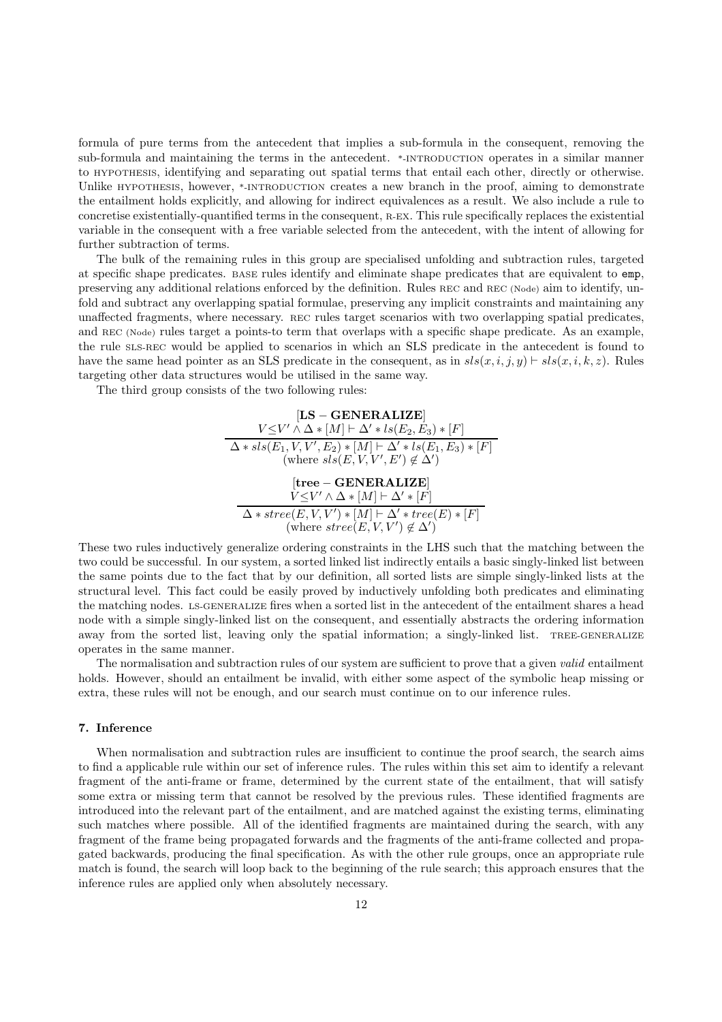formula of pure terms from the antecedent that implies a sub-formula in the consequent, removing the sub-formula and maintaining the terms in the antecedent. \*-INTRODUCTION operates in a similar manner to HYPOTHESIS, identifying and separating out spatial terms that entail each other, directly or otherwise. Unlike HYPOTHESIS, however, \*-INTRODUCTION creates a new branch in the proof, aiming to demonstrate the entailment holds explicitly, and allowing for indirect equivalences as a result. We also include a rule to concretise existentially-quantified terms in the consequent, R-EX. This rule specifically replaces the existential variable in the consequent with a free variable selected from the antecedent, with the intent of allowing for further subtraction of terms.

The bulk of the remaining rules in this group are specialised unfolding and subtraction rules, targeted at specific shape predicates. BASE rules identify and eliminate shape predicates that are equivalent to emp, preserving any additional relations enforced by the definition. Rules REC and REC (Node) aim to identify, unfold and subtract any overlapping spatial formulae, preserving any implicit constraints and maintaining any unaffected fragments, where necessary. REC rules target scenarios with two overlapping spatial predicates, and REC (Node) rules target a points-to term that overlaps with a specific shape predicate. As an example, the rule SLS-REC would be applied to scenarios in which an SLS predicate in the antecedent is found to have the same head pointer as an SLS predicate in the consequent, as in  $sl(x, i, j, y) \vdash sls(x, i, k, z)$ . Rules targeting other data structures would be utilised in the same way.

The third group consists of the two following rules:

$$
[\mathbf{LS} - \mathbf{GENERALIZE}]
$$
\n
$$
\frac{V \leq V' \land \Delta * [M] \vdash \Delta' * ls(E_2, E_3) * [F]}{\Delta * sls(E_1, V, V', E_2) * [M] \vdash \Delta' * ls(E_1, E_3) * [F]}
$$
\n(where sls(E, V, V', E')  $\notin \Delta')$ \n  
\n[tree - \mathbf{GENERALIZE}]  
\n
$$
\frac{V \leq V' \land \Delta * [M] \vdash \Delta' * [F]}{\Delta * stree(E, V, V') * [M] \vdash \Delta' * tree(E) * [F]}
$$
\n(where stree(E, V, V')  $\notin \Delta')$ 

These two rules inductively generalize ordering constraints in the LHS such that the matching between the two could be successful. In our system, a sorted linked list indirectly entails a basic singly-linked list between the same points due to the fact that by our definition, all sorted lists are simple singly-linked lists at the structural level. This fact could be easily proved by inductively unfolding both predicates and eliminating the matching nodes. LS-GENERALIZE fires when a sorted list in the antecedent of the entailment shares a head node with a simple singly-linked list on the consequent, and essentially abstracts the ordering information away from the sorted list, leaving only the spatial information; a singly-linked list. TREE-GENERALIZE operates in the same manner.

The normalisation and subtraction rules of our system are sufficient to prove that a given valid entailment holds. However, should an entailment be invalid, with either some aspect of the symbolic heap missing or extra, these rules will not be enough, and our search must continue on to our inference rules.

# <span id="page-11-0"></span>7. Inference

When normalisation and subtraction rules are insufficient to continue the proof search, the search aims to find a applicable rule within our set of inference rules. The rules within this set aim to identify a relevant fragment of the anti-frame or frame, determined by the current state of the entailment, that will satisfy some extra or missing term that cannot be resolved by the previous rules. These identified fragments are introduced into the relevant part of the entailment, and are matched against the existing terms, eliminating such matches where possible. All of the identified fragments are maintained during the search, with any fragment of the frame being propagated forwards and the fragments of the anti-frame collected and propagated backwards, producing the final specification. As with the other rule groups, once an appropriate rule match is found, the search will loop back to the beginning of the rule search; this approach ensures that the inference rules are applied only when absolutely necessary.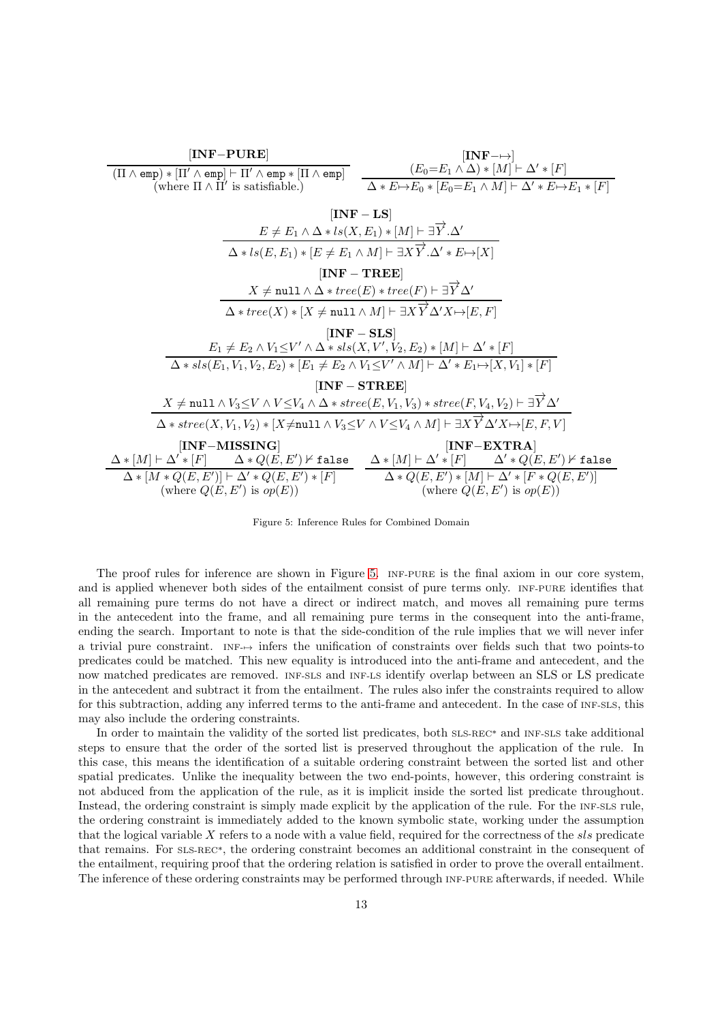<span id="page-12-0"></span>

Figure 5: Inference Rules for Combined Domain

The proof rules for inference are shown in Figure [5.](#page-12-0) INF-PURE is the final axiom in our core system, and is applied whenever both sides of the entailment consist of pure terms only. INF-PURE identifies that all remaining pure terms do not have a direct or indirect match, and moves all remaining pure terms in the antecedent into the frame, and all remaining pure terms in the consequent into the anti-frame, ending the search. Important to note is that the side-condition of the rule implies that we will never infer a trivial pure constraint. INF-→ infers the unification of constraints over fields such that two points-to predicates could be matched. This new equality is introduced into the anti-frame and antecedent, and the now matched predicates are removed. INF-SLS and INF-LS identify overlap between an SLS or LS predicate in the antecedent and subtract it from the entailment. The rules also infer the constraints required to allow for this subtraction, adding any inferred terms to the anti-frame and antecedent. In the case of INF-SLS, this may also include the ordering constraints.

In order to maintain the validity of the sorted list predicates, both SLS-REC\* and INF-SLS take additional steps to ensure that the order of the sorted list is preserved throughout the application of the rule. In this case, this means the identification of a suitable ordering constraint between the sorted list and other spatial predicates. Unlike the inequality between the two end-points, however, this ordering constraint is not abduced from the application of the rule, as it is implicit inside the sorted list predicate throughout. Instead, the ordering constraint is simply made explicit by the application of the rule. For the INF-SLS rule, the ordering constraint is immediately added to the known symbolic state, working under the assumption that the logical variable  $X$  refers to a node with a value field, required for the correctness of the  $sls$  predicate that remains. For SLS-REC\*, the ordering constraint becomes an additional constraint in the consequent of the entailment, requiring proof that the ordering relation is satisfied in order to prove the overall entailment. The inference of these ordering constraints may be performed through INF-PURE afterwards, if needed. While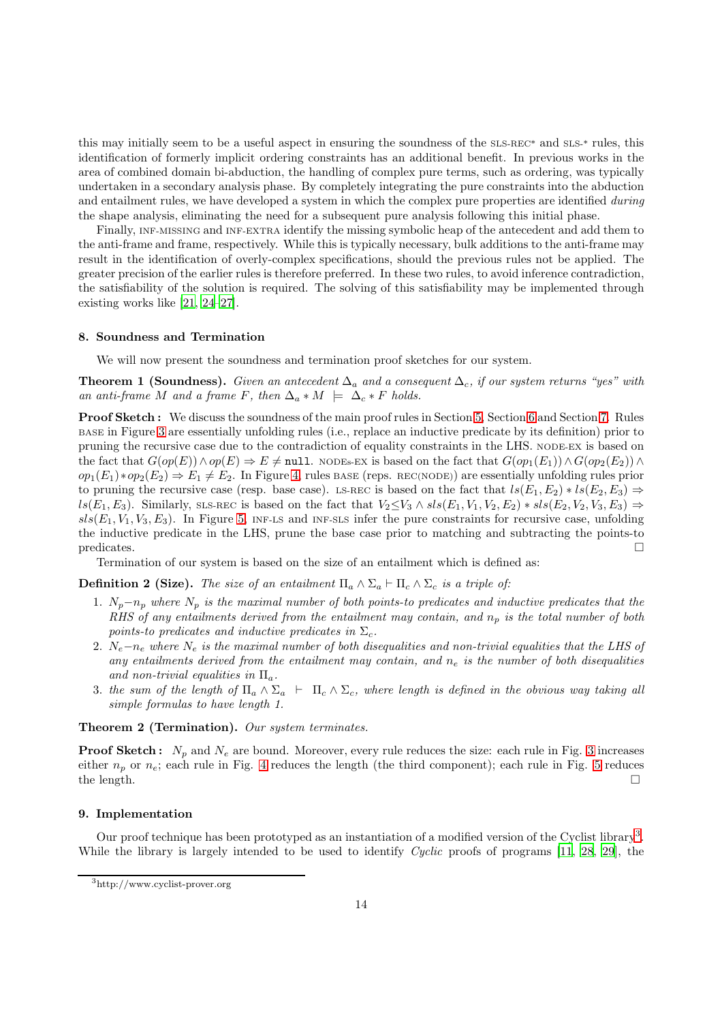this may initially seem to be a useful aspect in ensuring the soundness of the SLS-REC\* and SLS-\* rules, this identification of formerly implicit ordering constraints has an additional benefit. In previous works in the area of combined domain bi-abduction, the handling of complex pure terms, such as ordering, was typically undertaken in a secondary analysis phase. By completely integrating the pure constraints into the abduction and entailment rules, we have developed a system in which the complex pure properties are identified during the shape analysis, eliminating the need for a subsequent pure analysis following this initial phase.

Finally, INF-MISSING and INF-EXTRA identify the missing symbolic heap of the antecedent and add them to the anti-frame and frame, respectively. While this is typically necessary, bulk additions to the anti-frame may result in the identification of overly-complex specifications, should the previous rules not be applied. The greater precision of the earlier rules is therefore preferred. In these two rules, to avoid inference contradiction, the satisfiability of the solution is required. The solving of this satisfiability may be implemented through existing works like [\[21,](#page-21-19) [24](#page-21-22)[–27\]](#page-22-0).

### <span id="page-13-0"></span>8. Soundness and Termination

We will now present the soundness and termination proof sketches for our system.

**Theorem 1 (Soundness).** Given an antecedent  $\Delta_a$  and a consequent  $\Delta_c$ , if our system returns "yes" with an anti-frame M and a frame F, then  $\Delta_a * M \models \Delta_c * F$  holds.

Proof Sketch : We discuss the soundness of the main proof rules in Section [5,](#page-8-0) Section [6](#page-9-0) and Section [7.](#page-11-0) Rules BASE in Figure [3](#page-9-1) are essentially unfolding rules (i.e., replace an inductive predicate by its definition) prior to pruning the recursive case due to the contradiction of equality constraints in the LHS. NODE-EX is based on the fact that  $G(op(E)) \wedge op(E) \Rightarrow E \neq \text{null}$ . NODEs-EX is based on the fact that  $G(op_1(E_1)) \wedge G(op_2(E_2)) \wedge G(op_1(E_1))$  $op_1(E_1)*op_2(E_2) \Rightarrow E_1 \neq E_2$ . In Figure [4,](#page-10-0) rules BASE (reps. REC(NODE)) are essentially unfolding rules prior to pruning the recursive case (resp. base case). LS-REC is based on the fact that  $ls(E_1, E_2) * ls(E_2, E_3) \Rightarrow$  $ls(E_1, E_3)$ . Similarly, SLS-REC is based on the fact that  $V_2 \leq V_3 \wedge sls(E_1, V_1, V_2, E_2) * sls(E_2, V_2, V_3, E_3)$  ⇒  $sls(E_1, V_1, V_3, E_3)$ . In Figure [5,](#page-12-0) INF-LS and INF-SLS infer the pure constraints for recursive case, unfolding the inductive predicate in the LHS, prune the base case prior to matching and subtracting the points-to  $p$ redicates.

<span id="page-13-2"></span>Termination of our system is based on the size of an entailment which is defined as:

**Definition 2 (Size).** The size of an entailment  $\Pi_a \wedge \Sigma_a \vdash \Pi_c \wedge \Sigma_c$  is a triple of:

- 1.  $N_p-n_p$  where  $N_p$  is the maximal number of both points-to predicates and inductive predicates that the RHS of any entailments derived from the entailment may contain, and  $n_p$  is the total number of both points-to predicates and inductive predicates in  $\Sigma_c$ .
- 2.  $N_e-n_e$  where  $N_e$  is the maximal number of both disequalities and non-trivial equalities that the LHS of any entailments derived from the entailment may contain, and  $n_e$  is the number of both disequalities and non-trivial equalities in  $\Pi_a$ .
- 3. the sum of the length of  $\Pi_a \wedge \Sigma_a$   $\vdash \Pi_c \wedge \Sigma_c$ , where length is defined in the obvious way taking all simple formulas to have length 1.

Theorem 2 (Termination). Our system terminates.

**Proof Sketch:**  $N_p$  and  $N_e$  are bound. Moreover, every rule reduces the size: each rule in Fig. [3](#page-9-1) increases either  $n_p$  or  $n_e$ ; each rule in Fig. [4](#page-10-0) reduces the length (the third component); each rule in Fig. [5](#page-12-0) reduces the length.  $\square$ 

# <span id="page-13-1"></span>9. Implementation

Our proof technique has been prototyped as an instantiation of a modified version of the Cyclist library<sup>[3](#page-13-3)</sup>. While the library is largely intended to be used to identify  $Cyclic$  proofs of programs [\[11,](#page-21-9) [28,](#page-22-1) [29\]](#page-22-2), the

<span id="page-13-3"></span><sup>3</sup>http://www.cyclist-prover.org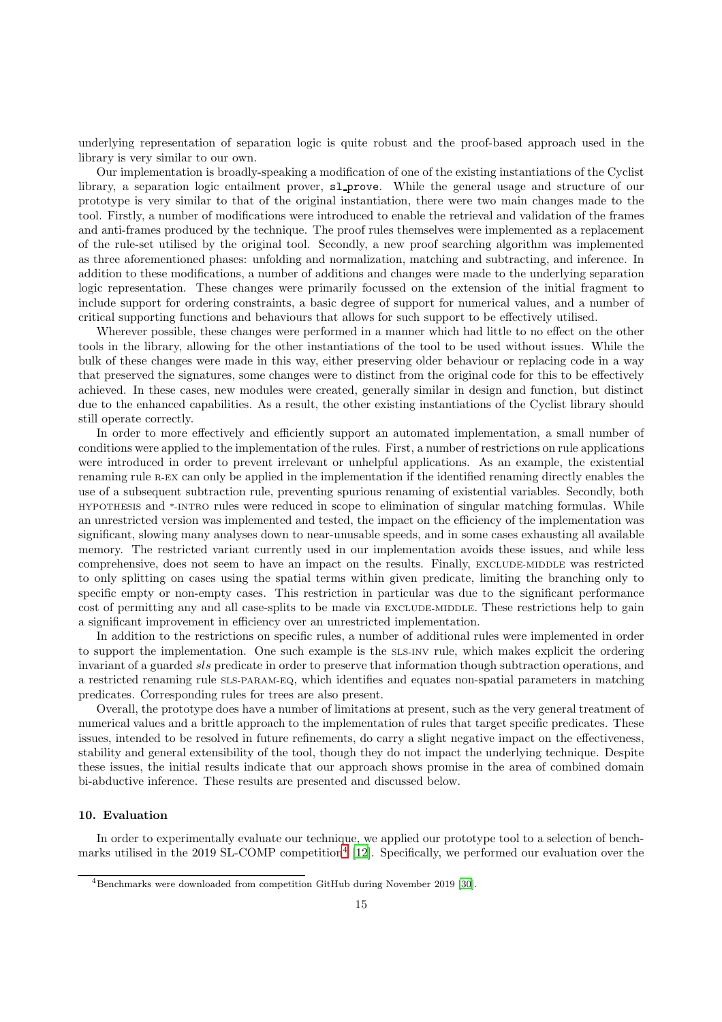underlying representation of separation logic is quite robust and the proof-based approach used in the library is very similar to our own.

Our implementation is broadly-speaking a modification of one of the existing instantiations of the Cyclist library, a separation logic entailment prover, sl prove. While the general usage and structure of our prototype is very similar to that of the original instantiation, there were two main changes made to the tool. Firstly, a number of modifications were introduced to enable the retrieval and validation of the frames and anti-frames produced by the technique. The proof rules themselves were implemented as a replacement of the rule-set utilised by the original tool. Secondly, a new proof searching algorithm was implemented as three aforementioned phases: unfolding and normalization, matching and subtracting, and inference. In addition to these modifications, a number of additions and changes were made to the underlying separation logic representation. These changes were primarily focussed on the extension of the initial fragment to include support for ordering constraints, a basic degree of support for numerical values, and a number of critical supporting functions and behaviours that allows for such support to be effectively utilised.

Wherever possible, these changes were performed in a manner which had little to no effect on the other tools in the library, allowing for the other instantiations of the tool to be used without issues. While the bulk of these changes were made in this way, either preserving older behaviour or replacing code in a way that preserved the signatures, some changes were to distinct from the original code for this to be effectively achieved. In these cases, new modules were created, generally similar in design and function, but distinct due to the enhanced capabilities. As a result, the other existing instantiations of the Cyclist library should still operate correctly.

In order to more effectively and efficiently support an automated implementation, a small number of conditions were applied to the implementation of the rules. First, a number of restrictions on rule applications were introduced in order to prevent irrelevant or unhelpful applications. As an example, the existential renaming rule R-EX can only be applied in the implementation if the identified renaming directly enables the use of a subsequent subtraction rule, preventing spurious renaming of existential variables. Secondly, both HYPOTHESIS and \*-INTRO rules were reduced in scope to elimination of singular matching formulas. While an unrestricted version was implemented and tested, the impact on the efficiency of the implementation was significant, slowing many analyses down to near-unusable speeds, and in some cases exhausting all available memory. The restricted variant currently used in our implementation avoids these issues, and while less comprehensive, does not seem to have an impact on the results. Finally, EXCLUDE-MIDDLE was restricted to only splitting on cases using the spatial terms within given predicate, limiting the branching only to specific empty or non-empty cases. This restriction in particular was due to the significant performance cost of permitting any and all case-splits to be made via EXCLUDE-MIDDLE. These restrictions help to gain a significant improvement in efficiency over an unrestricted implementation.

In addition to the restrictions on specific rules, a number of additional rules were implemented in order to support the implementation. One such example is the SLS-INV rule, which makes explicit the ordering invariant of a guarded sls predicate in order to preserve that information though subtraction operations, and a restricted renaming rule SLS-PARAM-EQ, which identifies and equates non-spatial parameters in matching predicates. Corresponding rules for trees are also present.

Overall, the prototype does have a number of limitations at present, such as the very general treatment of numerical values and a brittle approach to the implementation of rules that target specific predicates. These issues, intended to be resolved in future refinements, do carry a slight negative impact on the effectiveness, stability and general extensibility of the tool, though they do not impact the underlying technique. Despite these issues, the initial results indicate that our approach shows promise in the area of combined domain bi-abductive inference. These results are presented and discussed below.

# <span id="page-14-0"></span>10. Evaluation

In order to experimentally evaluate our technique, we applied our prototype tool to a selection of bench-marks utilised in the 2019 SL-COMP competition<sup>[4](#page-14-1)</sup> [\[12](#page-21-10)]. Specifically, we performed our evaluation over the

<span id="page-14-1"></span><sup>4</sup>Benchmarks were downloaded from competition GitHub during November 2019 [\[30\]](#page-22-3).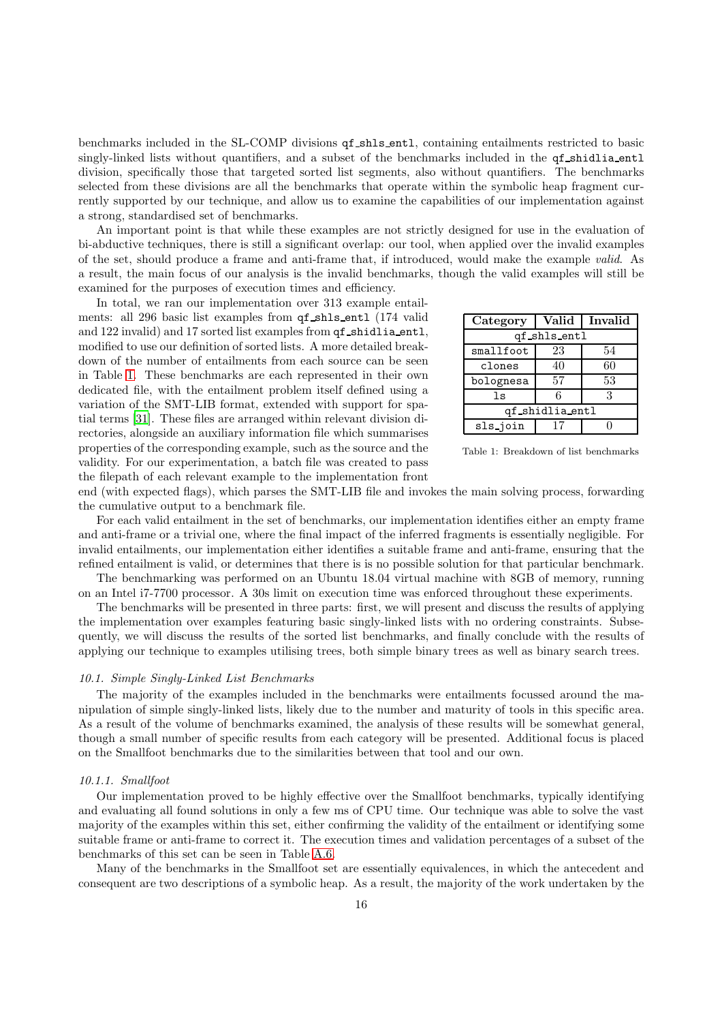benchmarks included in the SL-COMP divisions qf shls entl, containing entailments restricted to basic singly-linked lists without quantifiers, and a subset of the benchmarks included in the qf shidlia entl division, specifically those that targeted sorted list segments, also without quantifiers. The benchmarks selected from these divisions are all the benchmarks that operate within the symbolic heap fragment currently supported by our technique, and allow us to examine the capabilities of our implementation against a strong, standardised set of benchmarks.

An important point is that while these examples are not strictly designed for use in the evaluation of bi-abductive techniques, there is still a significant overlap: our tool, when applied over the invalid examples of the set, should produce a frame and anti-frame that, if introduced, would make the example valid. As a result, the main focus of our analysis is the invalid benchmarks, though the valid examples will still be examined for the purposes of execution times and efficiency.

In total, we ran our implementation over 313 example entailments: all 296 basic list examples from  $qf$  shls entl (174 valid and 122 invalid) and 17 sorted list examples from  $qf$  shidlia entl, modified to use our definition of sorted lists. A more detailed breakdown of the number of entailments from each source can be seen in Table [1.](#page-15-0) These benchmarks are each represented in their own dedicated file, with the entailment problem itself defined using a variation of the SMT-LIB format, extended with support for spatial terms [\[31\]](#page-22-4). These files are arranged within relevant division directories, alongside an auxiliary information file which summarises properties of the corresponding example, such as the source and the validity. For our experimentation, a batch file was created to pass the filepath of each relevant example to the implementation front

<span id="page-15-0"></span>

| Category        | Valid        | Invalid |  |
|-----------------|--------------|---------|--|
|                 | qf_shls_entl |         |  |
| smallfoot       | 23           | 54      |  |
| clones          | 40           | 60      |  |
| bolognesa       | 57           | 53      |  |
| 1s              | 6            | З       |  |
| qf_shidlia_entl |              |         |  |
| sls_join        |              |         |  |

Table 1: Breakdown of list benchmarks

end (with expected flags), which parses the SMT-LIB file and invokes the main solving process, forwarding the cumulative output to a benchmark file.

For each valid entailment in the set of benchmarks, our implementation identifies either an empty frame and anti-frame or a trivial one, where the final impact of the inferred fragments is essentially negligible. For invalid entailments, our implementation either identifies a suitable frame and anti-frame, ensuring that the refined entailment is valid, or determines that there is is no possible solution for that particular benchmark.

The benchmarking was performed on an Ubuntu 18.04 virtual machine with 8GB of memory, running on an Intel i7-7700 processor. A 30s limit on execution time was enforced throughout these experiments.

The benchmarks will be presented in three parts: first, we will present and discuss the results of applying the implementation over examples featuring basic singly-linked lists with no ordering constraints. Subsequently, we will discuss the results of the sorted list benchmarks, and finally conclude with the results of applying our technique to examples utilising trees, both simple binary trees as well as binary search trees.

# 10.1. Simple Singly-Linked List Benchmarks

The majority of the examples included in the benchmarks were entailments focussed around the manipulation of simple singly-linked lists, likely due to the number and maturity of tools in this specific area. As a result of the volume of benchmarks examined, the analysis of these results will be somewhat general, though a small number of specific results from each category will be presented. Additional focus is placed on the Smallfoot benchmarks due to the similarities between that tool and our own.

### 10.1.1. Smallfoot

Our implementation proved to be highly effective over the Smallfoot benchmarks, typically identifying and evaluating all found solutions in only a few ms of CPU time. Our technique was able to solve the vast majority of the examples within this set, either confirming the validity of the entailment or identifying some suitable frame or anti-frame to correct it. The execution times and validation percentages of a subset of the benchmarks of this set can be seen in Table [A.6.](#page-23-0)

Many of the benchmarks in the Smallfoot set are essentially equivalences, in which the antecedent and consequent are two descriptions of a symbolic heap. As a result, the majority of the work undertaken by the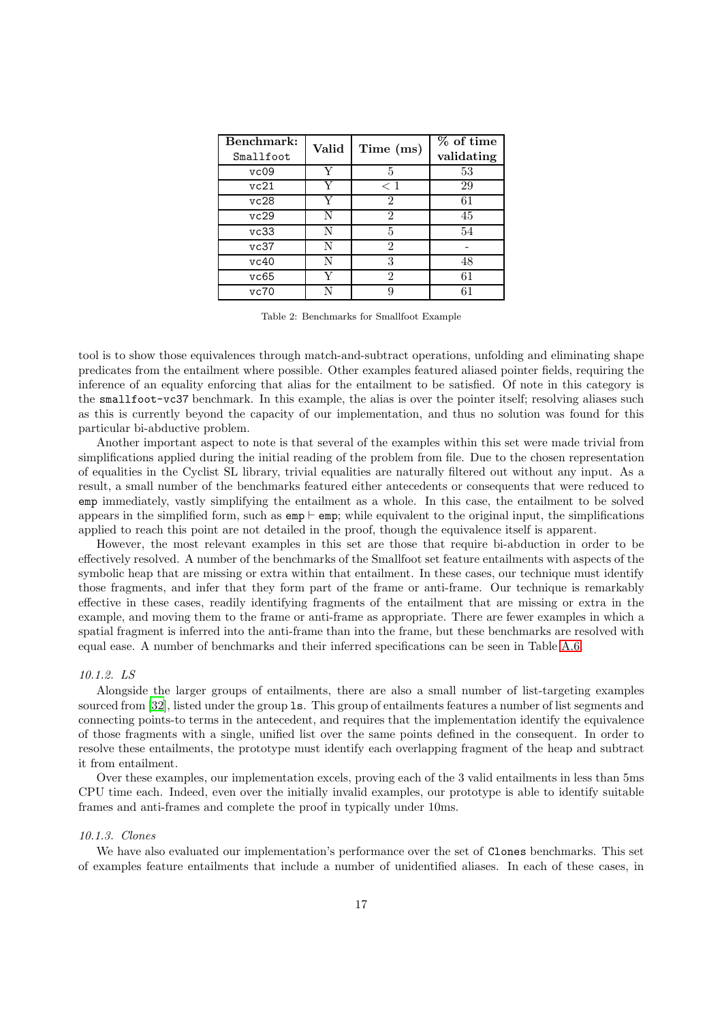| Benchmark:<br>Smallfoot | Valid | Time (ms)                   | % of time<br>validating |
|-------------------------|-------|-----------------------------|-------------------------|
| vc09                    | Y     | 5                           | 53                      |
| vc21                    | Y     | $<$ 1                       | 29                      |
| vc28                    | Y     | $\mathfrak{D}$              | 61                      |
| vc29                    | N     | 2                           | 45                      |
| vc33                    | N     | 5                           | 54                      |
| vc37                    | N     | $\mathcal{D}_{\mathcal{L}}$ |                         |
| vc40                    | N     | 3                           | 48                      |
| vc65                    |       | 2                           | 61                      |
| vc70                    |       |                             |                         |

Table 2: Benchmarks for Smallfoot Example

tool is to show those equivalences through match-and-subtract operations, unfolding and eliminating shape predicates from the entailment where possible. Other examples featured aliased pointer fields, requiring the inference of an equality enforcing that alias for the entailment to be satisfied. Of note in this category is the smallfoot-vc37 benchmark. In this example, the alias is over the pointer itself; resolving aliases such as this is currently beyond the capacity of our implementation, and thus no solution was found for this particular bi-abductive problem.

Another important aspect to note is that several of the examples within this set were made trivial from simplifications applied during the initial reading of the problem from file. Due to the chosen representation of equalities in the Cyclist SL library, trivial equalities are naturally filtered out without any input. As a result, a small number of the benchmarks featured either antecedents or consequents that were reduced to emp immediately, vastly simplifying the entailment as a whole. In this case, the entailment to be solved appears in the simplified form, such as  $\text{emp} \vdash \text{emp}$ ; while equivalent to the original input, the simplifications applied to reach this point are not detailed in the proof, though the equivalence itself is apparent.

However, the most relevant examples in this set are those that require bi-abduction in order to be effectively resolved. A number of the benchmarks of the Smallfoot set feature entailments with aspects of the symbolic heap that are missing or extra within that entailment. In these cases, our technique must identify those fragments, and infer that they form part of the frame or anti-frame. Our technique is remarkably effective in these cases, readily identifying fragments of the entailment that are missing or extra in the example, and moving them to the frame or anti-frame as appropriate. There are fewer examples in which a spatial fragment is inferred into the anti-frame than into the frame, but these benchmarks are resolved with equal ease. A number of benchmarks and their inferred specifications can be seen in Table [A.6.](#page-23-0)

### 10.1.2. LS

Alongside the larger groups of entailments, there are also a small number of list-targeting examples sourced from [\[32\]](#page-22-5), listed under the group ls. This group of entailments features a number of list segments and connecting points-to terms in the antecedent, and requires that the implementation identify the equivalence of those fragments with a single, unified list over the same points defined in the consequent. In order to resolve these entailments, the prototype must identify each overlapping fragment of the heap and subtract it from entailment.

Over these examples, our implementation excels, proving each of the 3 valid entailments in less than 5ms CPU time each. Indeed, even over the initially invalid examples, our prototype is able to identify suitable frames and anti-frames and complete the proof in typically under 10ms.

#### 10.1.3. Clones

We have also evaluated our implementation's performance over the set of Clones benchmarks. This set of examples feature entailments that include a number of unidentified aliases. In each of these cases, in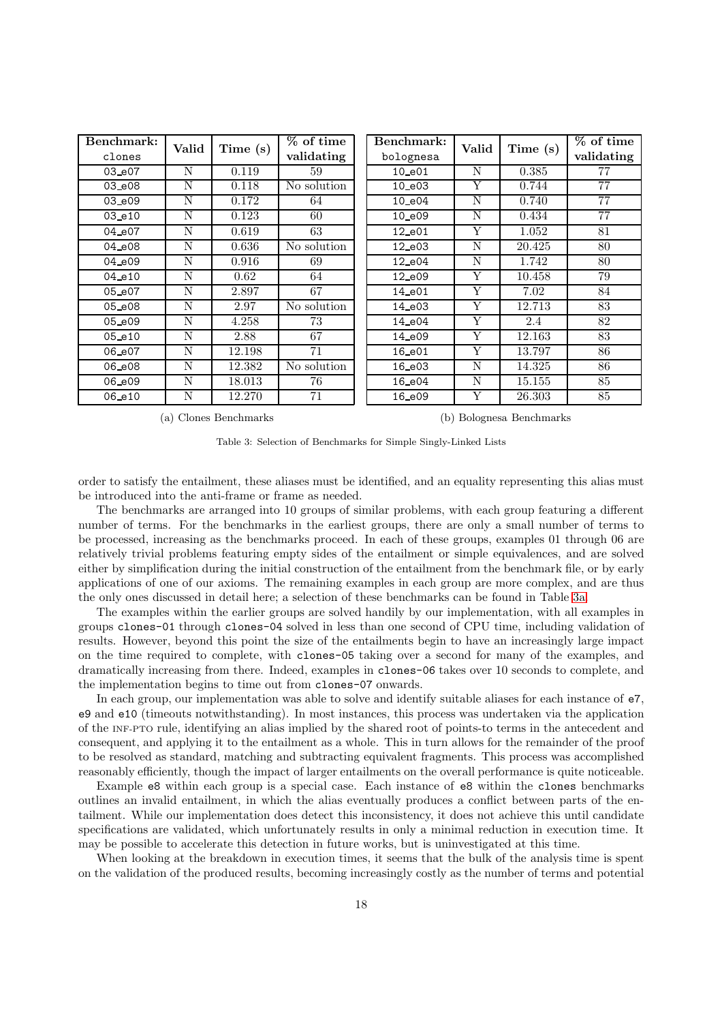<span id="page-17-0"></span>

| Benchmark: | Valid | Time (s) | % of time   | Benchmark:  | Valid | Time(s) | % of time       |
|------------|-------|----------|-------------|-------------|-------|---------|-----------------|
| clones     |       |          | validating  | bolognesa   |       |         | validating      |
| 03_e07     | N     | 0.119    | 59          | $10 - e01$  | N     | 0.385   | 77              |
| 03_e08     | N     | 0.118    | No solution | $10 - e03$  | Y     | 0.744   | 77              |
| 03_e09     | N     | 0.172    | 64          | $10 - e04$  | N     | 0.740   | 77              |
| $03_e10$   | N     | 0.123    | 60          | 10_e09      | N     | 0.434   | $\overline{77}$ |
| 04_e07     | N     | 0.619    | 63          | $12_e01$    | Y     | 1.052   | 81              |
| 04_e08     | N     | 0.636    | No solution | 12_e03      | N     | 20.425  | 80              |
| 04_e09     | N     | 0.916    | 69          | 12_e04      | N     | 1.742   | 80              |
| 04_e10     | N     | 0.62     | 64          | $12 - e09$  | Y     | 10.458  | 79              |
| 05_e07     | N     | 2.897    | 67          | 14_e01      | Y     | 7.02    | 84              |
| 05_e08     | N     | 2.97     | No solution | 14_e03      | Y     | 12.713  | 83              |
| 05_e09     | N     | 4.258    | 73          | 14_e04      | Y     | 2.4     | 82              |
| 05_e10     | N     | 2.88     | 67          | 14_e09      | Y     | 12.163  | 83              |
| 06_e07     | N     | 12.198   | 71          | $16_{-}e01$ | Y     | 13.797  | 86              |
| 06_e08     | N     | 12.382   | No solution | 16_e03      | N     | 14.325  | 86              |
| 06_e09     | N     | 18.013   | 76          | 16_e04      | N     | 15.155  | 85              |
| 06_e10     | N     | 12.270   | 71          | 16_e09      | Y     | 26.303  | 85              |

(a) Clones Benchmarks

(b) Bolognesa Benchmarks

Table 3: Selection of Benchmarks for Simple Singly-Linked Lists

order to satisfy the entailment, these aliases must be identified, and an equality representing this alias must be introduced into the anti-frame or frame as needed.

The benchmarks are arranged into 10 groups of similar problems, with each group featuring a different number of terms. For the benchmarks in the earliest groups, there are only a small number of terms to be processed, increasing as the benchmarks proceed. In each of these groups, examples 01 through 06 are relatively trivial problems featuring empty sides of the entailment or simple equivalences, and are solved either by simplification during the initial construction of the entailment from the benchmark file, or by early applications of one of our axioms. The remaining examples in each group are more complex, and are thus the only ones discussed in detail here; a selection of these benchmarks can be found in Table [3a.](#page-17-0)

The examples within the earlier groups are solved handily by our implementation, with all examples in groups clones-01 through clones-04 solved in less than one second of CPU time, including validation of results. However, beyond this point the size of the entailments begin to have an increasingly large impact on the time required to complete, with clones-05 taking over a second for many of the examples, and dramatically increasing from there. Indeed, examples in clones-06 takes over 10 seconds to complete, and the implementation begins to time out from clones-07 onwards.

In each group, our implementation was able to solve and identify suitable aliases for each instance of e7, e9 and e10 (timeouts notwithstanding). In most instances, this process was undertaken via the application of the INF-PTO rule, identifying an alias implied by the shared root of points-to terms in the antecedent and consequent, and applying it to the entailment as a whole. This in turn allows for the remainder of the proof to be resolved as standard, matching and subtracting equivalent fragments. This process was accomplished reasonably efficiently, though the impact of larger entailments on the overall performance is quite noticeable.

Example e8 within each group is a special case. Each instance of e8 within the clones benchmarks outlines an invalid entailment, in which the alias eventually produces a conflict between parts of the entailment. While our implementation does detect this inconsistency, it does not achieve this until candidate specifications are validated, which unfortunately results in only a minimal reduction in execution time. It may be possible to accelerate this detection in future works, but is uninvestigated at this time.

When looking at the breakdown in execution times, it seems that the bulk of the analysis time is spent on the validation of the produced results, becoming increasingly costly as the number of terms and potential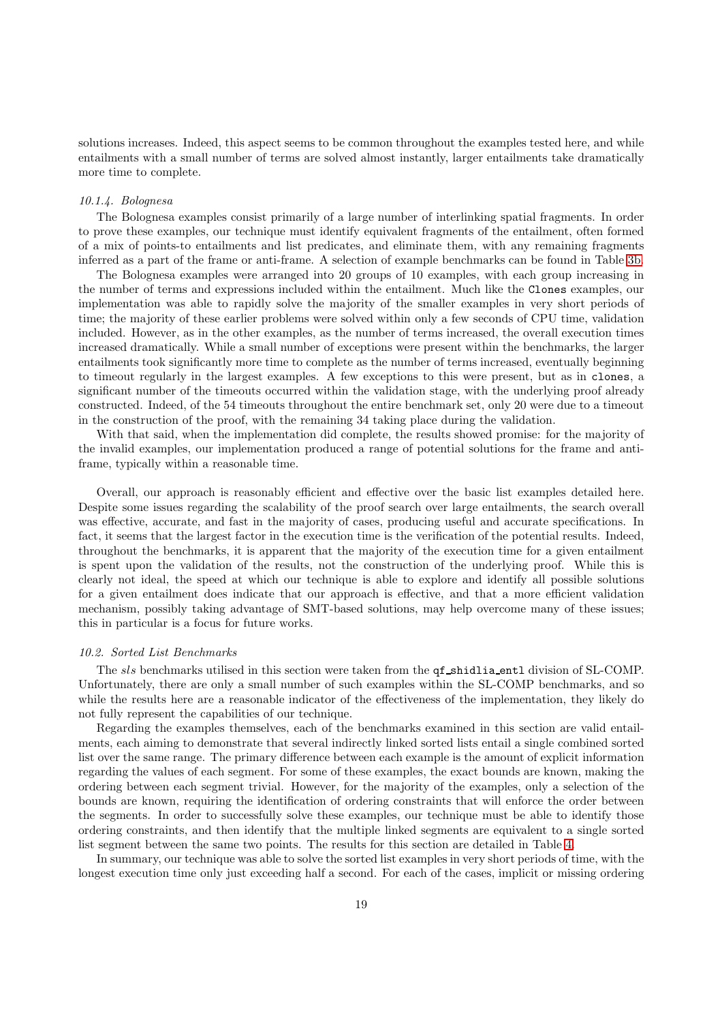solutions increases. Indeed, this aspect seems to be common throughout the examples tested here, and while entailments with a small number of terms are solved almost instantly, larger entailments take dramatically more time to complete.

### 10.1.4. Bolognesa

The Bolognesa examples consist primarily of a large number of interlinking spatial fragments. In order to prove these examples, our technique must identify equivalent fragments of the entailment, often formed of a mix of points-to entailments and list predicates, and eliminate them, with any remaining fragments inferred as a part of the frame or anti-frame. A selection of example benchmarks can be found in Table [3b.](#page-17-0)

The Bolognesa examples were arranged into 20 groups of 10 examples, with each group increasing in the number of terms and expressions included within the entailment. Much like the Clones examples, our implementation was able to rapidly solve the majority of the smaller examples in very short periods of time; the majority of these earlier problems were solved within only a few seconds of CPU time, validation included. However, as in the other examples, as the number of terms increased, the overall execution times increased dramatically. While a small number of exceptions were present within the benchmarks, the larger entailments took significantly more time to complete as the number of terms increased, eventually beginning to timeout regularly in the largest examples. A few exceptions to this were present, but as in clones, a significant number of the timeouts occurred within the validation stage, with the underlying proof already constructed. Indeed, of the 54 timeouts throughout the entire benchmark set, only 20 were due to a timeout in the construction of the proof, with the remaining 34 taking place during the validation.

With that said, when the implementation did complete, the results showed promise: for the majority of the invalid examples, our implementation produced a range of potential solutions for the frame and antiframe, typically within a reasonable time.

Overall, our approach is reasonably efficient and effective over the basic list examples detailed here. Despite some issues regarding the scalability of the proof search over large entailments, the search overall was effective, accurate, and fast in the majority of cases, producing useful and accurate specifications. In fact, it seems that the largest factor in the execution time is the verification of the potential results. Indeed, throughout the benchmarks, it is apparent that the majority of the execution time for a given entailment is spent upon the validation of the results, not the construction of the underlying proof. While this is clearly not ideal, the speed at which our technique is able to explore and identify all possible solutions for a given entailment does indicate that our approach is effective, and that a more efficient validation mechanism, possibly taking advantage of SMT-based solutions, may help overcome many of these issues; this in particular is a focus for future works.

### 10.2. Sorted List Benchmarks

The sls benchmarks utilised in this section were taken from the  $qf$ -shidlia entl division of SL-COMP. Unfortunately, there are only a small number of such examples within the SL-COMP benchmarks, and so while the results here are a reasonable indicator of the effectiveness of the implementation, they likely do not fully represent the capabilities of our technique.

Regarding the examples themselves, each of the benchmarks examined in this section are valid entailments, each aiming to demonstrate that several indirectly linked sorted lists entail a single combined sorted list over the same range. The primary difference between each example is the amount of explicit information regarding the values of each segment. For some of these examples, the exact bounds are known, making the ordering between each segment trivial. However, for the majority of the examples, only a selection of the bounds are known, requiring the identification of ordering constraints that will enforce the order between the segments. In order to successfully solve these examples, our technique must be able to identify those ordering constraints, and then identify that the multiple linked segments are equivalent to a single sorted list segment between the same two points. The results for this section are detailed in Table [4.](#page-19-0)

In summary, our technique was able to solve the sorted list examples in very short periods of time, with the longest execution time only just exceeding half a second. For each of the cases, implicit or missing ordering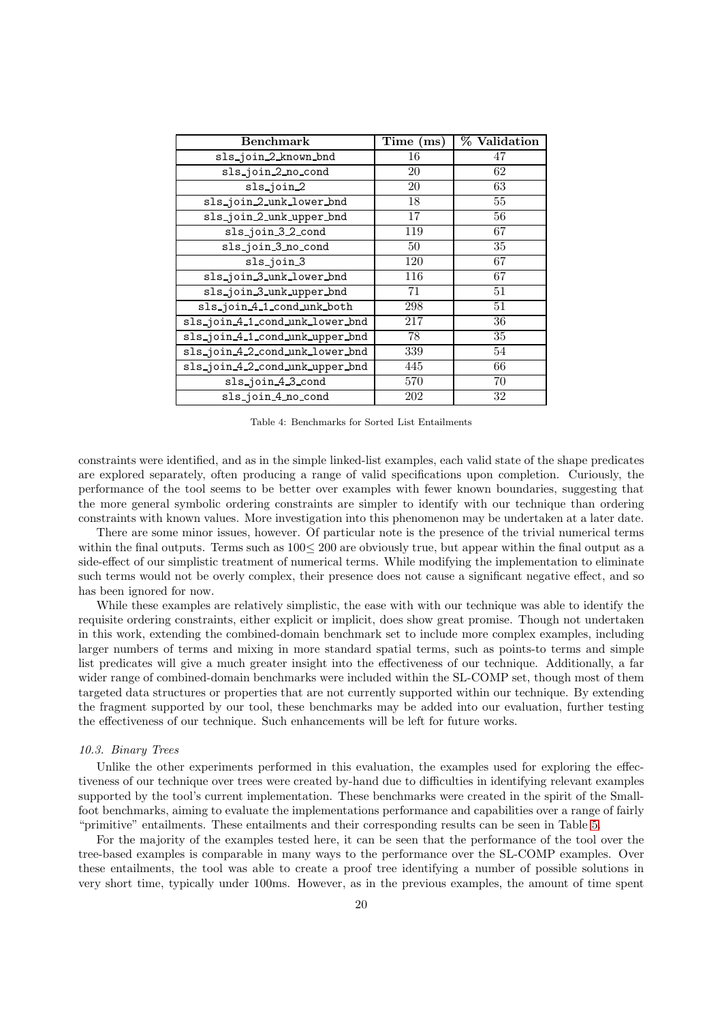<span id="page-19-0"></span>

| <b>Benchmark</b>                | Time<br>(ms) | % Validation |
|---------------------------------|--------------|--------------|
| sls_join_2_known_bnd            | 16           | 47           |
| sls_join_2_no_cond              | 20           | 62           |
| sls_join_2                      | 20           | 63           |
| sls_join_2_unk_lower_bnd        | 18           | 55           |
| sls_join_2_unk_upper_bnd        | 17           | 56           |
| sls_join_3_2_cond               | 119          | 67           |
| sls_join_3_no_cond              | 50           | 35           |
| sls_join_3                      | 120          | 67           |
| sls_join_3_unk_lower_bnd        | 116          | 67           |
| sls_join_3_unk_upper_bnd        | 71           | 51           |
| sls_join_4_1_cond_unk_both      | 298          | 51           |
| sls_join_4_1_cond_unk_lower_bnd | 217          | 36           |
| sls_join_4_1_cond_unk_upper_bnd | 78           | 35           |
| sls_join_4_2_cond_unk_lower_bnd | 339          | 54           |
| sls_join_4_2_cond_unk_upper_bnd | 445          | 66           |
| sls_join_4_3_cond               | 570          | 70           |
| sls_join_4_no_cond              | 202          | 32           |

Table 4: Benchmarks for Sorted List Entailments

constraints were identified, and as in the simple linked-list examples, each valid state of the shape predicates are explored separately, often producing a range of valid specifications upon completion. Curiously, the performance of the tool seems to be better over examples with fewer known boundaries, suggesting that the more general symbolic ordering constraints are simpler to identify with our technique than ordering constraints with known values. More investigation into this phenomenon may be undertaken at a later date.

There are some minor issues, however. Of particular note is the presence of the trivial numerical terms within the final outputs. Terms such as 100≤ 200 are obviously true, but appear within the final output as a side-effect of our simplistic treatment of numerical terms. While modifying the implementation to eliminate such terms would not be overly complex, their presence does not cause a significant negative effect, and so has been ignored for now.

While these examples are relatively simplistic, the ease with with our technique was able to identify the requisite ordering constraints, either explicit or implicit, does show great promise. Though not undertaken in this work, extending the combined-domain benchmark set to include more complex examples, including larger numbers of terms and mixing in more standard spatial terms, such as points-to terms and simple list predicates will give a much greater insight into the effectiveness of our technique. Additionally, a far wider range of combined-domain benchmarks were included within the SL-COMP set, though most of them targeted data structures or properties that are not currently supported within our technique. By extending the fragment supported by our tool, these benchmarks may be added into our evaluation, further testing the effectiveness of our technique. Such enhancements will be left for future works.

### 10.3. Binary Trees

Unlike the other experiments performed in this evaluation, the examples used for exploring the effectiveness of our technique over trees were created by-hand due to difficulties in identifying relevant examples supported by the tool's current implementation. These benchmarks were created in the spirit of the Smallfoot benchmarks, aiming to evaluate the implementations performance and capabilities over a range of fairly "primitive" entailments. These entailments and their corresponding results can be seen in Table [5.](#page-20-1)

For the majority of the examples tested here, it can be seen that the performance of the tool over the tree-based examples is comparable in many ways to the performance over the SL-COMP examples. Over these entailments, the tool was able to create a proof tree identifying a number of possible solutions in very short time, typically under 100ms. However, as in the previous examples, the amount of time spent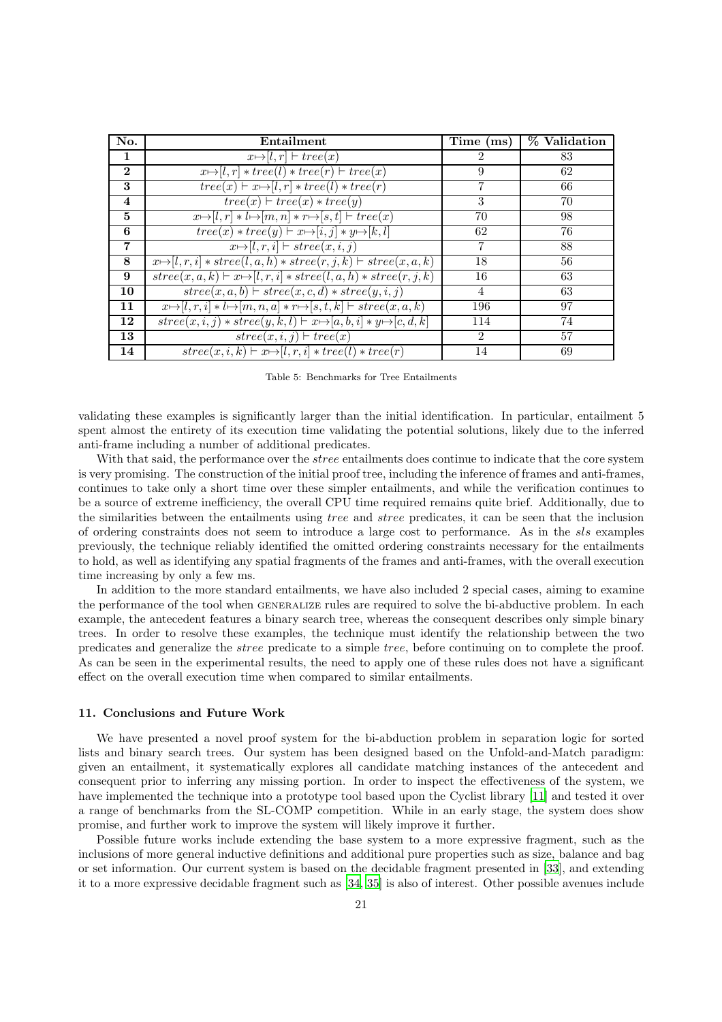<span id="page-20-1"></span>

| No.            | Entailment                                                                                         | Time (ms)      | % Validation |
|----------------|----------------------------------------------------------------------------------------------------|----------------|--------------|
| 1              | $x \mapsto [l, r] \vdash tree(x)$                                                                  | 2              | 83           |
| $\mathbf{2}$   | $x \mapsto [l, r] * tree(l) * tree(r) \vdash tree(x)$                                              | 9              | 62           |
| 3              | $tree(x) \vdash x \rightarrow [l, r] * tree(l) * tree(r)$                                          |                | 66           |
| $\overline{4}$ | $tree(x) \vdash tree(x) * tree(y)$                                                                 | 3              | 70           |
| $\mathbf{5}$   | $x \mapsto [l, r] * l \mapsto [m, n] * r \mapsto [s, t] \vdash tree(x)$                            | 70             | 98           |
| 6              | $tree(x) * tree(y) \vdash x \mapsto [i, j] * y \mapsto [k, l]$                                     | 62             | 76           |
| $\overline{7}$ | $x \mapsto [l, r, i] \vdash \mathit{stree}(x, i, j)$                                               | $\overline{7}$ | 88           |
| 8              | $x \mapsto [l, r, i] * \text{stree}(l, a, h) * \text{stree}(r, j, k) \vdash \text{stree}(x, a, k)$ | 18             | 56           |
| 9              | $stree(x, a, k) \vdash x \mapsto [l, r, i] * stree(l, a, h) * stree(r, j, k)$                      | 16             | 63           |
| 10             | $stree(x, a, b) \vdash stree(x, c, d) * stree(y, i, j)$                                            | $\overline{4}$ | 63           |
| 11             | $x \mapsto [l, r, i] * l \mapsto [m, n, a] * r \mapsto [s, t, k] \vdash \text{stree}(x, a, k)$     | 196            | 97           |
| 12             | $stree(x, i, j) * stree(y, k, l) \vdash x \mapsto [a, b, i] * y \mapsto [c, d, k]$                 | 114            | 74           |
| 13             | $stree(x, i, j) \vdash tree(x)$                                                                    | $\mathfrak{D}$ | 57           |
| 14             | $\overline{stree(x, i, k)} \vdash x \mapsto [l, r, i] * tree(l) * tree(r)$                         | 14             | 69           |

Table 5: Benchmarks for Tree Entailments

validating these examples is significantly larger than the initial identification. In particular, entailment 5 spent almost the entirety of its execution time validating the potential solutions, likely due to the inferred anti-frame including a number of additional predicates.

With that said, the performance over the *stree* entailments does continue to indicate that the core system is very promising. The construction of the initial proof tree, including the inference of frames and anti-frames, continues to take only a short time over these simpler entailments, and while the verification continues to be a source of extreme inefficiency, the overall CPU time required remains quite brief. Additionally, due to the similarities between the entailments using tree and stree predicates, it can be seen that the inclusion of ordering constraints does not seem to introduce a large cost to performance. As in the sls examples previously, the technique reliably identified the omitted ordering constraints necessary for the entailments to hold, as well as identifying any spatial fragments of the frames and anti-frames, with the overall execution time increasing by only a few ms.

In addition to the more standard entailments, we have also included 2 special cases, aiming to examine the performance of the tool when GENERALIZE rules are required to solve the bi-abductive problem. In each example, the antecedent features a binary search tree, whereas the consequent describes only simple binary trees. In order to resolve these examples, the technique must identify the relationship between the two predicates and generalize the stree predicate to a simple tree, before continuing on to complete the proof. As can be seen in the experimental results, the need to apply one of these rules does not have a significant effect on the overall execution time when compared to similar entailments.

### <span id="page-20-0"></span>11. Conclusions and Future Work

We have presented a novel proof system for the bi-abduction problem in separation logic for sorted lists and binary search trees. Our system has been designed based on the Unfold-and-Match paradigm: given an entailment, it systematically explores all candidate matching instances of the antecedent and consequent prior to inferring any missing portion. In order to inspect the effectiveness of the system, we have implemented the technique into a prototype tool based upon the Cyclist library [\[11\]](#page-21-9) and tested it over a range of benchmarks from the SL-COMP competition. While in an early stage, the system does show promise, and further work to improve the system will likely improve it further.

Possible future works include extending the base system to a more expressive fragment, such as the inclusions of more general inductive definitions and additional pure properties such as size, balance and bag or set information. Our current system is based on the decidable fragment presented in [\[33\]](#page-22-6), and extending it to a more expressive decidable fragment such as [34, 35] is also of interest. Other possible avenues include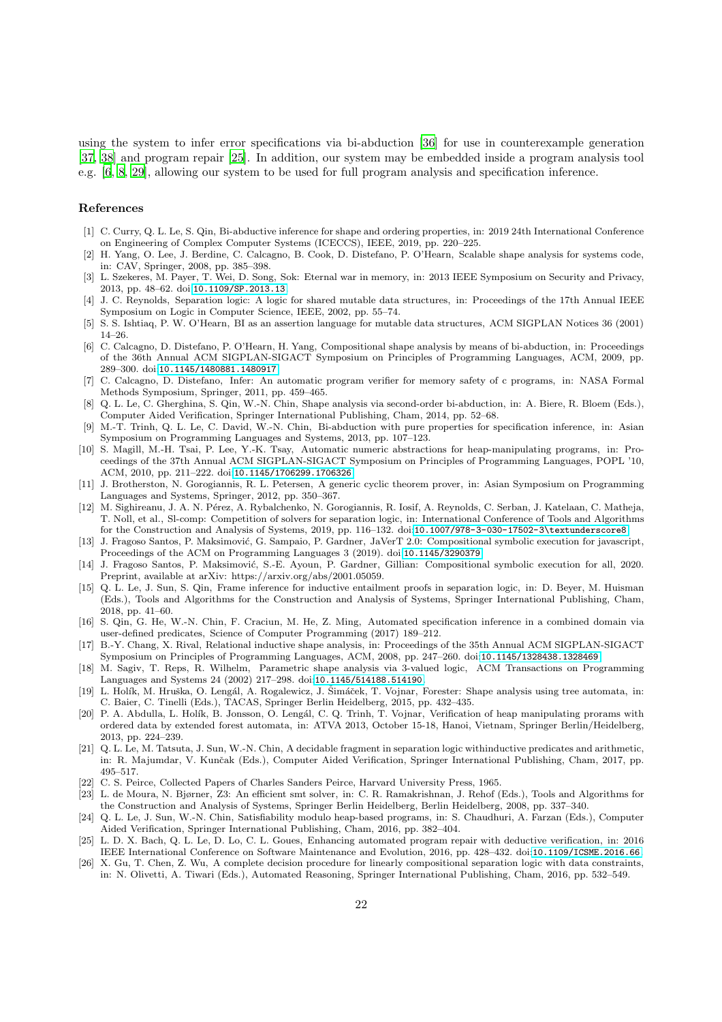using the system to infer error specifications via bi-abduction [\[36](#page-22-7)] for use in counterexample generation [\[37](#page-22-8), [38](#page-22-9)] and program repair [\[25\]](#page-21-23). In addition, our system may be embedded inside a program analysis tool e.g. [\[6,](#page-21-5) [8,](#page-21-6) [29\]](#page-22-2), allowing our system to be used for full program analysis and specification inference.

### References

- <span id="page-21-4"></span>[1] C. Curry, Q. L. Le, S. Qin, Bi-abductive inference for shape and ordering properties, in: 2019 24th International Conference on Engineering of Complex Computer Systems (ICECCS), IEEE, 2019, pp. 220–225.
- <span id="page-21-0"></span>[2] H. Yang, O. Lee, J. Berdine, C. Calcagno, B. Cook, D. Distefano, P. O'Hearn, Scalable shape analysis for systems code, in: CAV, Springer, 2008, pp. 385–398.
- <span id="page-21-1"></span>[3] L. Szekeres, M. Payer, T. Wei, D. Song, Sok: Eternal war in memory, in: 2013 IEEE Symposium on Security and Privacy, 2013, pp. 48–62. doi:[10.1109/SP.2013.13](http://dx.doi.org/10.1109/SP.2013.13).
- <span id="page-21-2"></span>[4] J. C. Reynolds, Separation logic: A logic for shared mutable data structures, in: Proceedings of the 17th Annual IEEE Symposium on Logic in Computer Science, IEEE, 2002, pp. 55–74.
- <span id="page-21-3"></span>[5] S. S. Ishtiaq, P. W. O'Hearn, BI as an assertion language for mutable data structures, ACM SIGPLAN Notices 36 (2001) 14–26.
- <span id="page-21-5"></span>[6] C. Calcagno, D. Distefano, P. O'Hearn, H. Yang, Compositional shape analysis by means of bi-abduction, in: Proceedings of the 36th Annual ACM SIGPLAN-SIGACT Symposium on Principles of Programming Languages, ACM, 2009, pp. 289–300. doi:[10.1145/1480881.1480917](http://dx.doi.org/10.1145/1480881.1480917).
- [7] C. Calcagno, D. Distefano, Infer: An automatic program verifier for memory safety of c programs, in: NASA Formal Methods Symposium, Springer, 2011, pp. 459–465.
- <span id="page-21-6"></span>[8] Q. L. Le, C. Gherghina, S. Qin, W.-N. Chin, Shape analysis via second-order bi-abduction, in: A. Biere, R. Bloem (Eds.), Computer Aided Verification, Springer International Publishing, Cham, 2014, pp. 52–68.
- <span id="page-21-7"></span>[9] M.-T. Trinh, Q. L. Le, C. David, W.-N. Chin, Bi-abduction with pure properties for specification inference, in: Asian Symposium on Programming Languages and Systems, 2013, pp. 107–123.
- <span id="page-21-8"></span>[10] S. Magill, M.-H. Tsai, P. Lee, Y.-K. Tsay, Automatic numeric abstractions for heap-manipulating programs, in: Proceedings of the 37th Annual ACM SIGPLAN-SIGACT Symposium on Principles of Programming Languages, POPL '10, ACM, 2010, pp. 211–222. doi:[10.1145/1706299.1706326](http://dx.doi.org/10.1145/1706299.1706326).
- <span id="page-21-9"></span>[11] J. Brotherston, N. Gorogiannis, R. L. Petersen, A generic cyclic theorem prover, in: Asian Symposium on Programming Languages and Systems, Springer, 2012, pp. 350–367.
- <span id="page-21-10"></span>[12] M. Sighireanu, J. A. N. Pérez, A. Rybalchenko, N. Gorogiannis, R. Iosif, A. Reynolds, C. Serban, J. Katelaan, C. Matheja, T. Noll, et al., Sl-comp: Competition of solvers for separation logic, in: International Conference of Tools and Algorithms for the Construction and Analysis of Systems, 2019, pp. 116–132. doi:[10.1007/978-3-030-17502-3\textunderscore8](http://dx.doi.org/10.1007/978-3-030-17502-3_8).
- <span id="page-21-11"></span>[13] J. Fragoso Santos, P. Maksimović, G. Sampaio, P. Gardner, JaVerT 2.0: Compositional symbolic execution for javascript, Proceedings of the ACM on Programming Languages 3 (2019). doi:[10.1145/3290379](http://dx.doi.org/10.1145/3290379).
- <span id="page-21-12"></span>[14] J. Fragoso Santos, P. Maksimović, S.-E. Ayoun, P. Gardner, Gillian: Compositional symbolic execution for all, 2020. Preprint, available at arXiv: https://arxiv.org/abs/2001.05059.
- <span id="page-21-13"></span>[15] Q. L. Le, J. Sun, S. Qin, Frame inference for inductive entailment proofs in separation logic, in: D. Beyer, M. Huisman (Eds.), Tools and Algorithms for the Construction and Analysis of Systems, Springer International Publishing, Cham, 2018, pp. 41–60.
- <span id="page-21-14"></span>[16] S. Qin, G. He, W.-N. Chin, F. Craciun, M. He, Z. Ming, Automated specification inference in a combined domain via user-defined predicates, Science of Computer Programming (2017) 189–212.
- <span id="page-21-15"></span>[17] B.-Y. Chang, X. Rival, Relational inductive shape analysis, in: Proceedings of the 35th Annual ACM SIGPLAN-SIGACT Symposium on Principles of Programming Languages, ACM, 2008, pp. 247–260. doi:[10.1145/1328438.1328469](http://dx.doi.org/10.1145/1328438.1328469).
- <span id="page-21-16"></span>[18] M. Sagiv, T. Reps, R. Wilhelm, Parametric shape analysis via 3-valued logic, ACM Transactions on Programming Languages and Systems 24 (2002) 217–298. doi:[10.1145/514188.514190](http://dx.doi.org/10.1145/514188.514190).
- <span id="page-21-17"></span>[19] L. Holík, M. Hruška, O. Lengál, A. Rogalewicz, J. Šimáček, T. Vojnar, Forester: Shape analysis using tree automata, in: C. Baier, C. Tinelli (Eds.), TACAS, Springer Berlin Heidelberg, 2015, pp. 432–435.
- <span id="page-21-18"></span>[20] P. A. Abdulla, L. Holík, B. Jonsson, O. Lengál, C. Q. Trinh, T. Vojnar, Verification of heap manipulating prorams with ordered data by extended forest automata, in: ATVA 2013, October 15-18, Hanoi, Vietnam, Springer Berlin/Heidelberg, 2013, pp. 224–239.
- <span id="page-21-19"></span>[21] Q. L. Le, M. Tatsuta, J. Sun, W.-N. Chin, A decidable fragment in separation logic withinductive predicates and arithmetic, in: R. Majumdar, V. Kunčak (Eds.), Computer Aided Verification, Springer International Publishing, Cham, 2017, pp. 495–517.
- <span id="page-21-20"></span>[22] C. S. Peirce, Collected Papers of Charles Sanders Peirce, Harvard University Press, 1965.
- <span id="page-21-21"></span>[23] L. de Moura, N. Bjørner, Z3: An efficient smt solver, in: C. R. Ramakrishnan, J. Rehof (Eds.), Tools and Algorithms for the Construction and Analysis of Systems, Springer Berlin Heidelberg, Berlin Heidelberg, 2008, pp. 337–340.
- <span id="page-21-22"></span>[24] Q. L. Le, J. Sun, W.-N. Chin, Satisfiability modulo heap-based programs, in: S. Chaudhuri, A. Farzan (Eds.), Computer Aided Verification, Springer International Publishing, Cham, 2016, pp. 382–404.
- <span id="page-21-23"></span>[25] L. D. X. Bach, Q. L. Le, D. Lo, C. L. Goues, Enhancing automated program repair with deductive verification, in: 2016 IEEE International Conference on Software Maintenance and Evolution, 2016, pp. 428–432. doi:[10.1109/ICSME.2016.66](http://dx.doi.org/10.1109/ICSME.2016.66).
- [26] X. Gu, T. Chen, Z. Wu, A complete decision procedure for linearly compositional separation logic with data constraints, in: N. Olivetti, A. Tiwari (Eds.), Automated Reasoning, Springer International Publishing, Cham, 2016, pp. 532–549.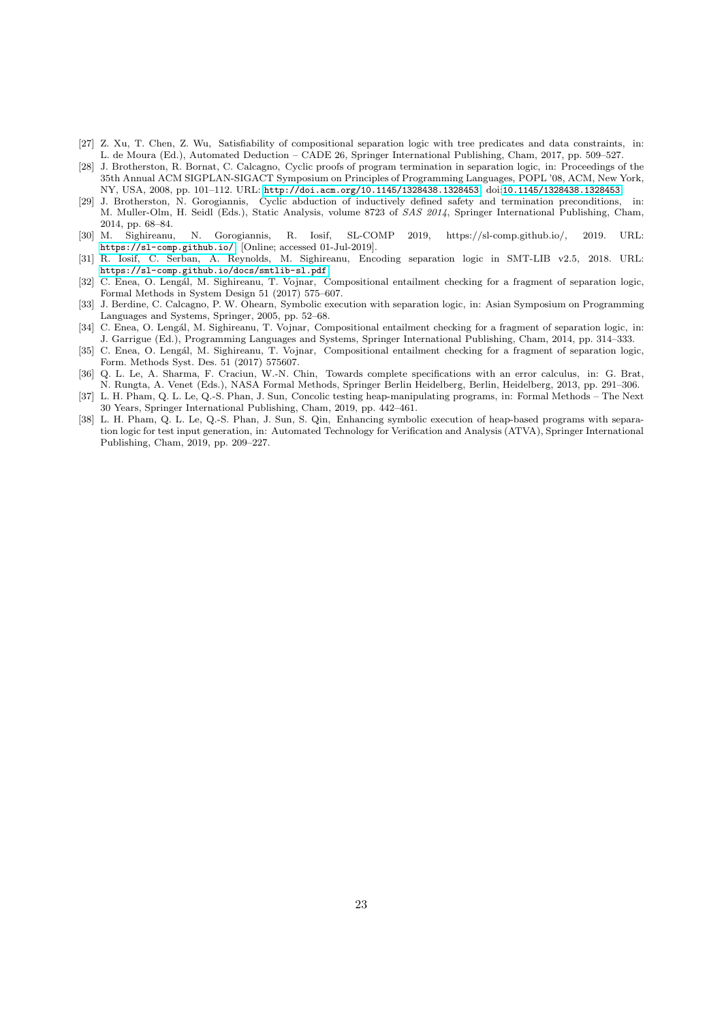- <span id="page-22-0"></span>[27] Z. Xu, T. Chen, Z. Wu, Satisfiability of compositional separation logic with tree predicates and data constraints, in: L. de Moura (Ed.), Automated Deduction – CADE 26, Springer International Publishing, Cham, 2017, pp. 509–527.
- <span id="page-22-1"></span>[28] J. Brotherston, R. Bornat, C. Calcagno, Cyclic proofs of program termination in separation logic, in: Proceedings of the 35th Annual ACM SIGPLAN-SIGACT Symposium on Principles of Programming Languages, POPL '08, ACM, New York, NY, USA, 2008, pp. 101–112. URL: <http://doi.acm.org/10.1145/1328438.1328453>. doi:[10.1145/1328438.1328453](http://dx.doi.org/10.1145/1328438.1328453).
- <span id="page-22-2"></span>[29] J. Brotherston, N. Gorogiannis, Cyclic abduction of inductively defined safety and termination preconditions, in: M. Muller-Olm, H. Seidl (Eds.), Static Analysis, volume 8723 of SAS 2014, Springer International Publishing, Cham, 2014, pp. 68–84.
- <span id="page-22-3"></span>[30] M. Sighireanu, N. Gorogiannis, R. Iosif, SL-COMP 2019, https://sl-comp.github.io/, 2019. URL: <https://sl-comp.github.io/>, [Online; accessed 01-Jul-2019].
- <span id="page-22-4"></span>[31] R. Iosif, C. Serban, A. Reynolds, M. Sighireanu, Encoding separation logic in SMT-LIB v2.5, 2018. URL: <https://sl-comp.github.io/docs/smtlib-sl.pdf>.
- <span id="page-22-5"></span>[32] C. Enea, O. Lengál, M. Sighireanu, T. Vojnar, Compositional entailment checking for a fragment of separation logic, Formal Methods in System Design 51 (2017) 575–607.
- <span id="page-22-6"></span>[33] J. Berdine, C. Calcagno, P. W. Ohearn, Symbolic execution with separation logic, in: Asian Symposium on Programming Languages and Systems, Springer, 2005, pp. 52–68.
- [34] C. Enea, O. Lengál, M. Sighireanu, T. Vojnar, Compositional entailment checking for a fragment of separation logic, in: J. Garrigue (Ed.), Programming Languages and Systems, Springer International Publishing, Cham, 2014, pp. 314–333.
- [35] C. Enea, O. Lengál, M. Sighireanu, T. Vojnar, Compositional entailment checking for a fragment of separation logic, Form. Methods Syst. Des. 51 (2017) 575607.
- <span id="page-22-7"></span>[36] Q. L. Le, A. Sharma, F. Craciun, W.-N. Chin, Towards complete specifications with an error calculus, in: G. Brat, N. Rungta, A. Venet (Eds.), NASA Formal Methods, Springer Berlin Heidelberg, Berlin, Heidelberg, 2013, pp. 291–306.
- <span id="page-22-8"></span>[37] L. H. Pham, Q. L. Le, Q.-S. Phan, J. Sun, Concolic testing heap-manipulating programs, in: Formal Methods – The Next 30 Years, Springer International Publishing, Cham, 2019, pp. 442–461.
- <span id="page-22-9"></span>[38] L. H. Pham, Q. L. Le, Q.-S. Phan, J. Sun, S. Qin, Enhancing symbolic execution of heap-based programs with separation logic for test input generation, in: Automated Technology for Verification and Analysis (ATVA), Springer International Publishing, Cham, 2019, pp. 209–227.